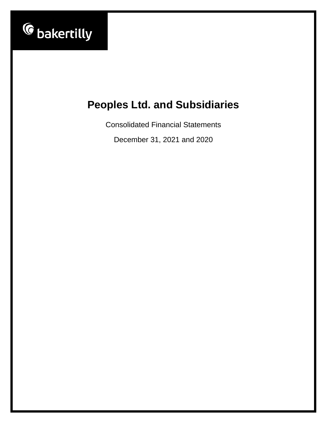

Consolidated Financial Statements

December 31, 2021 and 2020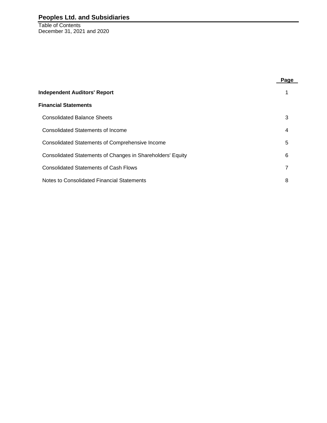Table of Contents December 31, 2021 and 2020

|                                                            | <b>Page</b> |
|------------------------------------------------------------|-------------|
| <b>Independent Auditors' Report</b>                        |             |
| <b>Financial Statements</b>                                |             |
| <b>Consolidated Balance Sheets</b>                         | 3           |
| <b>Consolidated Statements of Income</b>                   | 4           |
| <b>Consolidated Statements of Comprehensive Income</b>     | 5           |
| Consolidated Statements of Changes in Shareholders' Equity | 6           |
| <b>Consolidated Statements of Cash Flows</b>               | 7           |
| Notes to Consolidated Financial Statements                 | 8           |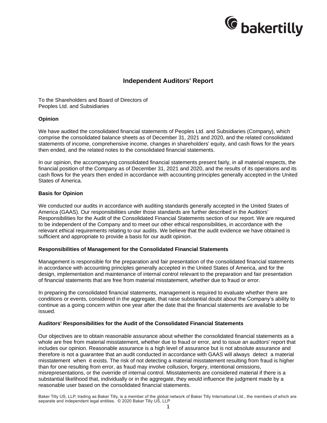

# **Independent Auditors' Report**

To the Shareholders and Board of Directors of Peoples Ltd. and Subsidiaries

#### **Opinion**

We have audited the consolidated financial statements of Peoples Ltd. and Subsidiaries (Company), which comprise the consolidated balance sheets as of December 31, 2021 and 2020, and the related consolidated statements of income, comprehensive income, changes in shareholders' equity, and cash flows for the years then ended, and the related notes to the consolidated financial statements.

In our opinion, the accompanying consolidated financial statements present fairly, in all material respects, the financial position of the Company as of December 31, 2021 and 2020, and the results of its operations and its cash flows for the years then ended in accordance with accounting principles generally accepted in the United States of America.

#### **Basis for Opinion**

We conducted our audits in accordance with auditing standards generally accepted in the United States of America (GAAS). Our responsibilities under those standards are further described in the Auditors' Responsibilities for the Audit of the Consolidated Financial Statements section of our report. We are required to be independent of the Company and to meet our other ethical responsibilities, in accordance with the relevant ethical requirements relating to our audits. We believe that the audit evidence we have obtained is sufficient and appropriate to provide a basis for our audit opinion.

#### **Responsibilities of Management for the Consolidated Financial Statements**

Management is responsible for the preparation and fair presentation of the consolidated financial statements in accordance with accounting principles generally accepted in the United States of America, and for the design, implementation and maintenance of internal control relevant to the preparation and fair presentation of financial statements that are free from material misstatement, whether due to fraud or error.

In preparing the consolidated financial statements, management is required to evaluate whether there are conditions or events, considered in the aggregate, that raise substantial doubt about the Company's ability to continue as a going concern within one year after the date that the financial statements are available to be issued.

#### **Auditors' Responsibilities for the Audit of the Consolidated Financial Statements**

Our objectives are to obtain reasonable assurance about whether the consolidated financial statements as a whole are free from material misstatement, whether due to fraud or error, and to issue an auditors' report that includes our opinion. Reasonable assurance is a high level of assurance but is not absolute assurance and therefore is not a guarantee that an audit conducted in accordance with GAAS will always detect a material misstatement when it exists. The risk of not detecting a material misstatement resulting from fraud is higher than for one resulting from error, as fraud may involve collusion, forgery, intentional omissions, misrepresentations, or the override of internal control. Misstatements are considered material if there is a substantial likelihood that, individually or in the aggregate, they would influence the judgment made by a reasonable user based on the consolidated financial statements.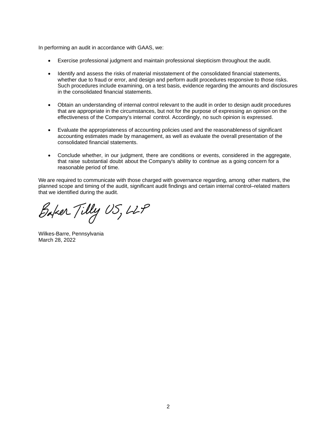In performing an audit in accordance with GAAS, we:

- Exercise professional judgment and maintain professional skepticism throughout the audit.
- Identify and assess the risks of material misstatement of the consolidated financial statements, whether due to fraud or error, and design and perform audit procedures responsive to those risks. Such procedures include examining, on a test basis, evidence regarding the amounts and disclosures in the consolidated financial statements.
- Obtain an understanding of internal control relevant to the audit in order to design audit procedures that are appropriate in the circumstances, but not for the purpose of expressing an opinion on the effectiveness of the Company's internal control. Accordingly, no such opinion is expressed.
- Evaluate the appropriateness of accounting policies used and the reasonableness of significant accounting estimates made by management, as well as evaluate the overall presentation of the consolidated financial statements.
- Conclude whether, in our judgment, there are conditions or events, considered in the aggregate, that raise substantial doubt about the Company's ability to continue as a going concern for a reasonable period of time.

We are required to communicate with those charged with governance regarding, among other matters, the planned scope and timing of the audit, significant audit findings and certain internal control–related matters that we identified during the audit.

Baker Tilly US, LLP

Wilkes-Barre, Pennsylvania March 28, 2022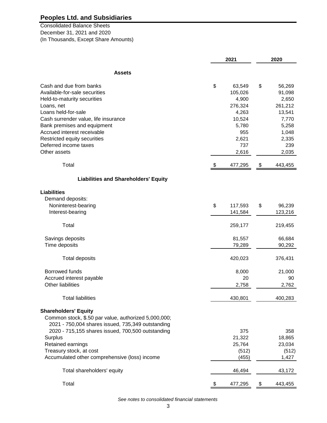Consolidated Balance Sheets December 31, 2021 and 2020 (In Thousands, Except Share Amounts)

|                                                                                                                                                                                                                                                                                                             | 2021                                                                                                    | 2020 |                                                                                                    |  |
|-------------------------------------------------------------------------------------------------------------------------------------------------------------------------------------------------------------------------------------------------------------------------------------------------------------|---------------------------------------------------------------------------------------------------------|------|----------------------------------------------------------------------------------------------------|--|
| <b>Assets</b>                                                                                                                                                                                                                                                                                               |                                                                                                         |      |                                                                                                    |  |
| Cash and due from banks<br>Available-for-sale securities<br>Held-to-maturity securities<br>Loans, net<br>Loans held-for-sale<br>Cash surrender value, life insurance<br>Bank premises and equipment<br>Accrued interest receivable<br>Restricted equity securities<br>Deferred income taxes<br>Other assets | \$<br>63,549<br>105,026<br>4,900<br>276,324<br>4,263<br>10,524<br>5,780<br>955<br>2,621<br>737<br>2,616 | \$   | 56,269<br>91,098<br>2,650<br>261,212<br>13,541<br>7,770<br>5,258<br>1,048<br>2,335<br>239<br>2,035 |  |
| Total                                                                                                                                                                                                                                                                                                       | \$<br>477,295                                                                                           | \$   | 443,455                                                                                            |  |
| <b>Liabilities and Shareholders' Equity</b>                                                                                                                                                                                                                                                                 |                                                                                                         |      |                                                                                                    |  |
| <b>Liabilities</b><br>Demand deposits:<br>Noninterest-bearing<br>Interest-bearing                                                                                                                                                                                                                           | \$<br>117,593<br>141,584                                                                                | \$   | 96,239<br>123,216                                                                                  |  |
| Total                                                                                                                                                                                                                                                                                                       | 259,177                                                                                                 |      | 219,455                                                                                            |  |
| Savings deposits<br>Time deposits                                                                                                                                                                                                                                                                           | 81,557<br>79,289                                                                                        |      | 66,684<br>90,292                                                                                   |  |
| <b>Total deposits</b>                                                                                                                                                                                                                                                                                       | 420,023                                                                                                 |      | 376,431                                                                                            |  |
| Borrowed funds<br>Accrued interest payable<br><b>Other liabilities</b>                                                                                                                                                                                                                                      | 8,000<br>20<br>2,758                                                                                    |      | 21,000<br>90<br>2,762                                                                              |  |
| <b>Total liabilities</b>                                                                                                                                                                                                                                                                                    | 430,801                                                                                                 |      | 400,283                                                                                            |  |
| <b>Shareholders' Equity</b><br>Common stock, \$.50 par value, authorized 5,000,000;<br>2021 - 750,004 shares issued, 735,349 outstanding<br>2020 - 715,155 shares issued, 700,500 outstanding                                                                                                               | 375                                                                                                     |      | 358                                                                                                |  |
| Surplus                                                                                                                                                                                                                                                                                                     | 21,322                                                                                                  |      | 18,865                                                                                             |  |
| Retained earnings                                                                                                                                                                                                                                                                                           | 25,764                                                                                                  |      | 23,034                                                                                             |  |
| Treasury stock, at cost<br>Accumulated other comprehensive (loss) income                                                                                                                                                                                                                                    | (512)<br>(455)                                                                                          |      | (512)<br>1,427                                                                                     |  |
| Total shareholders' equity                                                                                                                                                                                                                                                                                  | 46,494                                                                                                  |      | 43,172                                                                                             |  |
| Total                                                                                                                                                                                                                                                                                                       | \$<br>477,295                                                                                           | \$   | 443,455                                                                                            |  |

*See notes to consolidated financial statements*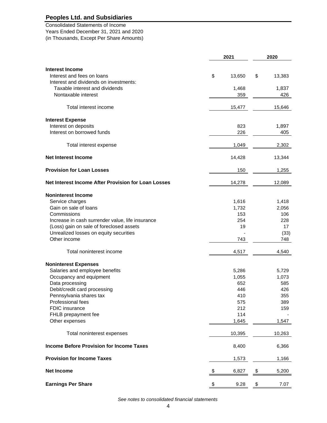Consolidated Statements of Income Years Ended December 31, 2021 and 2020 (in Thousands, Except Per Share Amounts)

|                                                     | 2021         | 2020         |
|-----------------------------------------------------|--------------|--------------|
|                                                     |              |              |
| <b>Interest Income</b>                              |              |              |
| Interest and fees on loans                          | \$<br>13,650 | \$<br>13,383 |
| Interest and dividends on investments:              |              |              |
| Taxable interest and dividends                      | 1,468        | 1,837        |
| Nontaxable interest                                 | 359          | 426          |
| Total interest income                               | 15,477       | 15,646       |
| <b>Interest Expense</b>                             |              |              |
| Interest on deposits                                | 823          | 1,897        |
| Interest on borrowed funds                          | 226          | 405          |
|                                                     |              |              |
| Total interest expense                              | 1,049        | 2,302        |
| <b>Net Interest Income</b>                          | 14,428       | 13,344       |
| <b>Provision for Loan Losses</b>                    | 150          | 1,255        |
| Net Interest Income After Provision for Loan Losses | 14,278       | 12,089       |
|                                                     |              |              |
| <b>Noninterest Income</b>                           |              |              |
| Service charges                                     | 1,616        | 1,418        |
| Gain on sale of loans                               | 1,732        | 2,056        |
| Commissions                                         | 153          | 106          |
| Increase in cash surrender value, life insurance    | 254          | 228          |
| (Loss) gain on sale of foreclosed assets            | 19           | 17           |
| Unrealized losses on equity securities              |              | (33)         |
| Other income                                        | 743          | 748          |
| Total noninterest income                            | 4,517        | 4,540        |
| <b>Noninterest Expenses</b>                         |              |              |
| Salaries and employee benefits                      | 5,286        | 5,729        |
| Occupancy and equipment                             | 1,055        | 1,073        |
| Data processing                                     | 652          | 585          |
| Debit/credit card processing                        | 446          | 426          |
| Pennsylvania shares tax                             | 410          | 355          |
| Professional fees                                   | 575          | 389          |
| <b>FDIC</b> insurance                               | 212          | 159          |
|                                                     | 114          |              |
| FHLB prepayment fee                                 |              |              |
| Other expenses                                      | 1,645        | 1,547        |
| Total noninterest expenses                          | 10,395       | 10,263       |
| <b>Income Before Provision for Income Taxes</b>     | 8,400        | 6,366        |
| <b>Provision for Income Taxes</b>                   | 1,573        | 1,166        |
| <b>Net Income</b>                                   | \$<br>6,827  | \$<br>5,200  |
| <b>Earnings Per Share</b>                           | \$<br>9.28   | \$<br>7.07   |

*See notes to consolidated financial statements*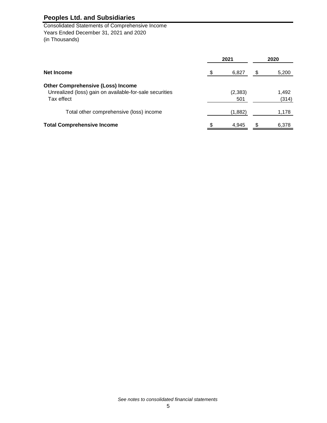Consolidated Statements of Comprehensive Income Years Ended December 31, 2021 and 2020 (in Thousands)

|                                                                                                                   | 2021            | 2020 |                |  |
|-------------------------------------------------------------------------------------------------------------------|-----------------|------|----------------|--|
| <b>Net Income</b>                                                                                                 | \$<br>6,827     | \$   | 5,200          |  |
| <b>Other Comprehensive (Loss) Income</b><br>Unrealized (loss) gain on available-for-sale securities<br>Tax effect | (2, 383)<br>501 |      | 1,492<br>(314) |  |
| Total other comprehensive (loss) income                                                                           | (1,882)         |      | 1,178          |  |
| <b>Total Comprehensive Income</b>                                                                                 | \$<br>4.945     | \$   | 6,378          |  |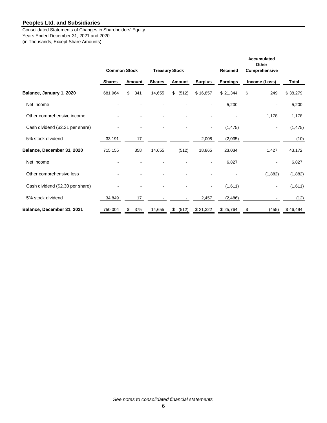Consolidated Statements of Changes in Shareholders' Equity Years Ended December 31, 2021 and 2020 (in Thousands, Except Share Amounts)

|                                  | <b>Common Stock</b> |           |                | <b>Treasury Stock</b>    |                | <b>Retained</b> | <b>Accumulated</b><br>Other<br>Comprehensive |              |  |
|----------------------------------|---------------------|-----------|----------------|--------------------------|----------------|-----------------|----------------------------------------------|--------------|--|
|                                  | <b>Shares</b>       | Amount    | <b>Shares</b>  | Amount                   | <b>Surplus</b> | <b>Earnings</b> | Income (Loss)                                | <b>Total</b> |  |
| Balance, January 1, 2020         | 681,964             | \$<br>341 | 14,655         | $\mathsf{\$}$<br>(512)   | \$16,857       | \$21,344        | \$<br>249                                    | \$38,279     |  |
| Net income                       |                     |           |                |                          |                | 5,200           |                                              | 5,200        |  |
| Other comprehensive income       |                     |           |                |                          |                |                 | 1,178                                        | 1,178        |  |
| Cash dividend (\$2.21 per share) |                     |           |                |                          |                | (1, 475)        |                                              | (1, 475)     |  |
| 5% stock dividend                | 33,191              | 17        |                | $\blacksquare$           | 2,008          | (2,035)         |                                              | (10)         |  |
| Balance, December 31, 2020       | 715,155             | 358       | 14,655         | (512)                    | 18,865         | 23,034          | 1,427                                        | 43,172       |  |
| Net income                       |                     |           |                |                          |                | 6,827           |                                              | 6,827        |  |
| Other comprehensive loss         |                     |           |                |                          |                |                 | (1,882)                                      | (1,882)      |  |
| Cash dividend (\$2.30 per share) |                     |           |                | $\overline{\phantom{a}}$ | $\blacksquare$ | (1,611)         | $\blacksquare$                               | (1,611)      |  |
| 5% stock dividend                | 34,849              | 17        | $\blacksquare$ | $\blacksquare$           | 2,457          | (2, 486)        |                                              | (12)         |  |
| Balance, December 31, 2021       | 750,004             | \$<br>375 | 14,655         | \$<br>(512)              | \$21,322       | \$25,764        | \$<br>(455)                                  | \$46,494     |  |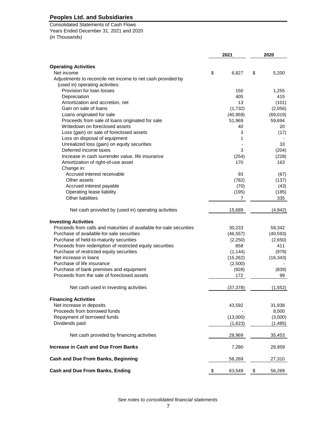Consolidated Statements of Cash Flows (in Thousands) Years Ended December 31, 2021 and 2020

|                                                                     | 2021         | 2020         |
|---------------------------------------------------------------------|--------------|--------------|
|                                                                     |              |              |
| <b>Operating Activities</b>                                         |              |              |
| Net income                                                          | \$<br>6,827  | \$<br>5,200  |
| Adjustments to reconcile net income to net cash provided by         |              |              |
| (used in) operating activities:                                     |              |              |
| Provision for loan losses                                           | 150          | 1,255        |
| Depreciation                                                        | 405          | 415          |
| Amortization and accretion, net                                     | 13           | (101)        |
| Gain on sale of loans                                               | (1,732)      | (2,056)      |
| Loans originated for sale                                           | (40, 959)    | (69, 019)    |
| Proceeds from sale of loans originated for sale                     | 51,969       | 59,694       |
| Writedown on foreclosed assets                                      | 40           | 20           |
| Loss (gain) on sale of foreclosed assets                            | 3            | (17)         |
| Loss on disposal of equipment                                       | 1            |              |
| Unrealized loss (gain) on equity securities                         |              | 33           |
| Deferred income taxes                                               | 3            | (204)        |
| Increase in cash surrender value, life insurance                    | (254)        | (228)        |
| Amortization of right-of-use asset                                  | 170          | 163          |
| Change in:                                                          |              |              |
| Accrued interest receivable                                         | 93           | (67)         |
| Other assets                                                        | (782)        | (137)        |
| Accrued interest payable                                            | (70)         | (43)         |
| Operating lease liability                                           | (195)        | (185)        |
| <b>Other liabilities</b>                                            | 7            | 335          |
| Net cash provided by (used in) operating activities                 | 15,689       | (4, 942)     |
| <b>Investing Activities</b>                                         |              |              |
| Proceeds from calls and maturities of available-for-sale securities | 30,233       | 59,342       |
| Purchase of available-for-sale securities                           | (46, 557)    | (40, 593)    |
| Purchase of held-to-maturity securities                             | (2,250)      | (2,650)      |
| Proceeds from redemption of restricted equity securities            | 858          | 411          |
| Purchase of restricted equity securities                            | (1, 144)     | (979)        |
| Net increase in loans                                               | (15, 262)    | (16, 343)    |
| Purchase of life insurance                                          | (2,500)      |              |
| Purchase of bank premises and equipment                             | (928)        | (839)        |
| Proceeds from the sale of foreclosed assets                         | 172          | 99           |
| Net cash used in investing activities                               | (37, 378)    | (1, 552)     |
| <b>Financing Activities</b>                                         |              |              |
| Net increase in deposits                                            | 43,592       | 31,938       |
| Proceeds from borrowed funds                                        |              | 8,000        |
| Repayment of borrowed funds                                         | (13,000)     | (3,000)      |
| Dividends paid                                                      | (1,623)      | (1, 485)     |
| Net cash provided by financing activities                           | 28,969       | 35,453       |
| <b>Increase in Cash and Due From Banks</b>                          | 7,280        | 28,959       |
| <b>Cash and Due From Banks, Beginning</b>                           | 56,269       | 27,310       |
| <b>Cash and Due From Banks, Ending</b>                              | \$<br>63,549 | \$<br>56,269 |

*See notes to consolidated financial statements*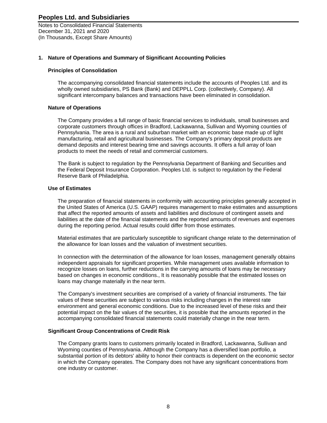Notes to Consolidated Financial Statements December 31, 2021 and 2020 (In Thousands, Except Share Amounts)

#### **1. Nature of Operations and Summary of Significant Accounting Policies**

#### **Principles of Consolidation**

The accompanying consolidated financial statements include the accounts of Peoples Ltd. and its wholly owned subsidiaries, PS Bank (Bank) and DEPPLL Corp. (collectively, Company). All significant intercompany balances and transactions have been eliminated in consolidation.

#### **Nature of Operations**

The Company provides a full range of basic financial services to individuals, small businesses and corporate customers through offices in Bradford, Lackawanna, Sullivan and Wyoming counties of Pennsylvania. The area is a rural and suburban market with an economic base made up of light manufacturing, retail and agricultural businesses. The Company's primary deposit products are demand deposits and interest bearing time and savings accounts. It offers a full array of loan products to meet the needs of retail and commercial customers.

The Bank is subject to regulation by the Pennsylvania Department of Banking and Securities and the Federal Deposit Insurance Corporation. Peoples Ltd. is subject to regulation by the Federal Reserve Bank of Philadelphia.

#### **Use of Estimates**

The preparation of financial statements in conformity with accounting principles generally accepted in the United States of America (U.S. GAAP) requires management to make estimates and assumptions that affect the reported amounts of assets and liabilities and disclosure of contingent assets and liabilities at the date of the financial statements and the reported amounts of revenues and expenses during the reporting period. Actual results could differ from those estimates.

Material estimates that are particularly susceptible to significant change relate to the determination of the allowance for loan losses and the valuation of investment securities.

In connection with the determination of the allowance for loan losses, management generally obtains independent appraisals for significant properties. While management uses available information to recognize losses on loans, further reductions in the carrying amounts of loans may be necessary based on changes in economic conditions., It is reasonably possible that the estimated losses on loans may change materially in the near term.

The Company's investment securities are comprised of a variety of financial instruments. The fair values of these securities are subject to various risks including changes in the interest rate environment and general economic conditions. Due to the increased level of these risks and their potential impact on the fair values of the securities, it is possible that the amounts reported in the accompanying consolidated financial statements could materially change in the near term.

#### **Significant Group Concentrations of Credit Risk**

The Company grants loans to customers primarily located in Bradford, Lackawanna, Sullivan and Wyoming counties of Pennsylvania. Although the Company has a diversified loan portfolio, a substantial portion of its debtors' ability to honor their contracts is dependent on the economic sector in which the Company operates. The Company does not have any significant concentrations from one industry or customer.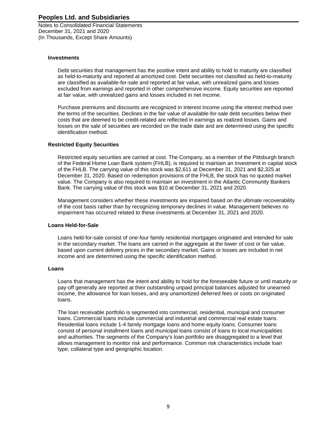Notes to Consolidated Financial Statements December 31, 2021 and 2020 (In Thousands, Except Share Amounts)

#### **Investments**

Debt securities that management has the positive intent and ability to hold to maturity are classified as held-to-maturity and reported at amortized cost. Debt securities not classified as held-to-maturity are classified as available-for-sale and reported at fair value, with unrealized gains and losses excluded from earnings and reported in other comprehensive income. Equity securities are reported at fair value, with unrealized gains and losses included in net income.

Purchase premiums and discounts are recognized in interest income using the interest method over the terms of the securities. Declines in the fair value of available-for-sale debt securities below their costs that are deemed to be credit-related are reflected in earnings as realized losses. Gains and losses on the sale of securities are recorded on the trade date and are determined using the specific identification method.

#### **Restricted Equity Securities**

Restricted equity securities are carried at cost. The Company, as a member of the Pittsburgh branch of the Federal Home Loan Bank system (FHLB), is required to maintain an investment in capital stock of the FHLB. The carrying value of this stock was \$2,611 at December 31, 2021 and \$2,325 at December 31, 2020. Based on redemption provisions of the FHLB, the stock has no quoted market value. The Company is also required to maintain an investment in the Atlantic Community Bankers Bank. The carrying value of this stock was \$10 at December 31, 2021 and 2020.

Management considers whether these investments are impaired based on the ultimate recoverability of the cost basis rather than by recognizing temporary declines in value. Management believes no impairment has occurred related to these investments at December 31, 2021 and 2020.

#### **Loans Held-for-Sale**

Loans held-for-sale consist of one-four family residential mortgages originated and intended for sale in the secondary market. The loans are carried in the aggregate at the lower of cost or fair value, based upon current delivery prices in the secondary market. Gains or losses are included in net income and are determined using the specific identification method.

#### **Loans**

Loans that management has the intent and ability to hold for the foreseeable future or until maturity or pay-off generally are reported at their outstanding unpaid principal balances adjusted for unearned income, the allowance for loan losses, and any unamortized deferred fees or costs on originated loans.

The loan receivable portfolio is segmented into commercial, residential, municipal and consumer loans. Commercial loans include commercial and industrial and commercial real estate loans. Residential loans include 1-4 family mortgage loans and home equity loans. Consumer loans consist of personal installment loans and municipal loans consist of loans to local municipalities and authorities. The segments of the Company's loan portfolio are disaggregated to a level that allows management to monitor risk and performance. Common risk characteristics include loan type, collateral type and geographic location.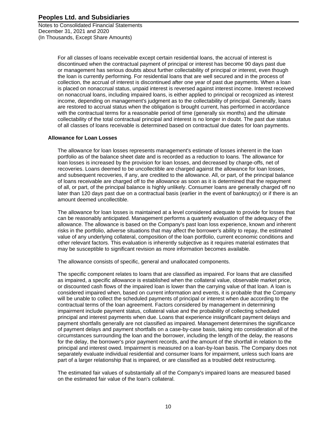Notes to Consolidated Financial Statements December 31, 2021 and 2020 (In Thousands, Except Share Amounts)

> For all classes of loans receivable except certain residential loans, the accrual of interest is discontinued when the contractual payment of principal or interest has become 90 days past due or management has serious doubts about further collectability of principal or interest, even though the loan is currently performing. For residential loans that are well secured and in the process of collection, the accrual of interest is discontinued after one year of past due payments. When a loan is placed on nonaccrual status, unpaid interest is reversed against interest income. Interest received on nonaccrual loans, including impaired loans, is either applied to principal or recognized as interest income, depending on management's judgment as to the collectability of principal. Generally, loans are restored to accrual status when the obligation is brought current, has performed in accordance with the contractual terms for a reasonable period of time (generally six months) and the ultimate collectability of the total contractual principal and interest is no longer in doubt. The past due status of all classes of loans receivable is determined based on contractual due dates for loan payments.

#### **Allowance for Loan Losses**

The allowance for loan losses represents management's estimate of losses inherent in the loan portfolio as of the balance sheet date and is recorded as a reduction to loans. The allowance for loan losses is increased by the provision for loan losses, and decreased by charge-offs, net of recoveries. Loans deemed to be uncollectible are charged against the allowance for loan losses, and subsequent recoveries, if any, are credited to the allowance. All, or part, of the principal balance of loans receivable are charged off to the allowance as soon as it is determined that the repayment of all, or part, of the principal balance is highly unlikely. Consumer loans are generally charged off no later than 120 days past due on a contractual basis (earlier in the event of bankruptcy) or if there is an amount deemed uncollectible.

The allowance for loan losses is maintained at a level considered adequate to provide for losses that can be reasonably anticipated. Management performs a quarterly evaluation of the adequacy of the allowance. The allowance is based on the Company's past loan loss experience, known and inherent risks in the portfolio, adverse situations that may affect the borrower's ability to repay, the estimated value of any underlying collateral, composition of the loan portfolio, current economic conditions and other relevant factors. This evaluation is inherently subjective as it requires material estimates that may be susceptible to significant revision as more information becomes available.

The allowance consists of specific, general and unallocated components.

The specific component relates to loans that are classified as impaired. For loans that are classified as impaired, a specific allowance is established when the collateral value, observable market price, or discounted cash flows of the impaired loan is lower than the carrying value of that loan. A loan is considered impaired when, based on current information and events, it is probable that the Company will be unable to collect the scheduled payments of principal or interest when due according to the contractual terms of the loan agreement. Factors considered by management in determining impairment include payment status, collateral value and the probability of collecting scheduled principal and interest payments when due. Loans that experience insignificant payment delays and payment shortfalls generally are not classified as impaired. Management determines the significance of payment delays and payment shortfalls on a case-by-case basis, taking into consideration all of the circumstances surrounding the loan and the borrower, including the length of the delay, the reasons for the delay, the borrower's prior payment records, and the amount of the shortfall in relation to the principal and interest owed. Impairment is measured on a loan-by-loan basis. The Company does not separately evaluate individual residential and consumer loans for impairment, unless such loans are part of a larger relationship that is impaired, or are classified as a troubled debt restructuring.

The estimated fair values of substantially all of the Company's impaired loans are measured based on the estimated fair value of the loan's collateral.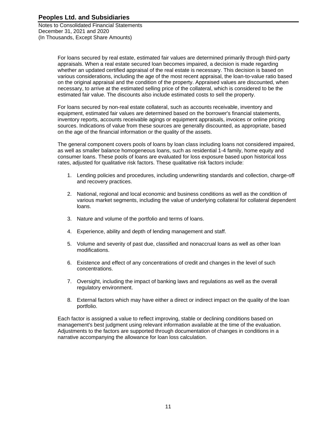Notes to Consolidated Financial Statements December 31, 2021 and 2020 (In Thousands, Except Share Amounts)

> For loans secured by real estate, estimated fair values are determined primarily through third-party appraisals. When a real estate secured loan becomes impaired, a decision is made regarding whether an updated certified appraisal of the real estate is necessary. This decision is based on various considerations, including the age of the most recent appraisal, the loan-to-value ratio based on the original appraisal and the condition of the property. Appraised values are discounted, when necessary, to arrive at the estimated selling price of the collateral, which is considered to be the estimated fair value. The discounts also include estimated costs to sell the property.

For loans secured by non-real estate collateral, such as accounts receivable, inventory and equipment, estimated fair values are determined based on the borrower's financial statements, inventory reports, accounts receivable agings or equipment appraisals, invoices or online pricing sources. Indications of value from these sources are generally discounted, as appropriate, based on the age of the financial information or the quality of the assets.

The general component covers pools of loans by loan class including loans not considered impaired, as well as smaller balance homogeneous loans, such as residential 1-4 family, home equity and consumer loans. These pools of loans are evaluated for loss exposure based upon historical loss rates, adjusted for qualitative risk factors. These qualitative risk factors include:

- 1. Lending policies and procedures, including underwriting standards and collection, charge-off and recovery practices.
- 2. National, regional and local economic and business conditions as well as the condition of various market segments, including the value of underlying collateral for collateral dependent loans.
- 3. Nature and volume of the portfolio and terms of loans.
- 4. Experience, ability and depth of lending management and staff.
- 5. Volume and severity of past due, classified and nonaccrual loans as well as other loan modifications.
- 6. Existence and effect of any concentrations of credit and changes in the level of such concentrations.
- 7. Oversight, including the impact of banking laws and regulations as well as the overall regulatory environment.
- 8. External factors which may have either a direct or indirect impact on the quality of the loan portfolio.

Each factor is assigned a value to reflect improving, stable or declining conditions based on management's best judgment using relevant information available at the time of the evaluation. Adjustments to the factors are supported through documentation of changes in conditions in a narrative accompanying the allowance for loan loss calculation.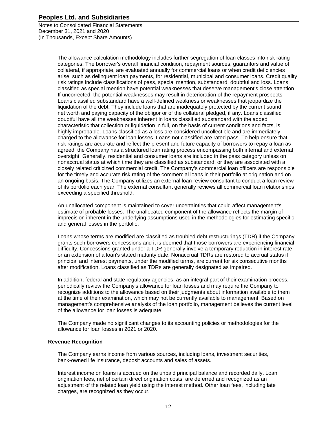Notes to Consolidated Financial Statements December 31, 2021 and 2020 (In Thousands, Except Share Amounts)

> The allowance calculation methodology includes further segregation of loan classes into risk rating categories. The borrower's overall financial condition, repayment sources, guarantors and value of collateral, if appropriate, are evaluated annually for commercial loans or when credit deficiencies arise, such as delinquent loan payments, for residential, municipal and consumer loans. Credit quality risk ratings include classifications of pass, special mention, substandard, doubtful and loss. Loans classified as special mention have potential weaknesses that deserve management's close attention. If uncorrected, the potential weaknesses may result in deterioration of the repayment prospects. Loans classified substandard have a well-defined weakness or weaknesses that jeopardize the liquidation of the debt. They include loans that are inadequately protected by the current sound net worth and paying capacity of the obligor or of the collateral pledged, if any. Loans classified doubtful have all the weaknesses inherent in loans classified substandard with the added characteristic that collection or liquidation in full, on the basis of current conditions and facts, is highly improbable. Loans classified as a loss are considered uncollectible and are immediately charged to the allowance for loan losses. Loans not classified are rated pass. To help ensure that risk ratings are accurate and reflect the present and future capacity of borrowers to repay a loan as agreed, the Company has a structured loan rating process encompassing both internal and external oversight. Generally, residential and consumer loans are included in the pass category unless on nonaccrual status at which time they are classified as substandard, or they are associated with a closely related criticized commercial credit. The Company's commercial loan officers are responsible for the timely and accurate risk rating of the commercial loans in their portfolio at origination and on an ongoing basis. The Company utilizes an external loan review consultant to conduct a loan review of its portfolio each year. The external consultant generally reviews all commercial loan relationships exceeding a specified threshold.

> An unallocated component is maintained to cover uncertainties that could affect management's estimate of probable losses. The unallocated component of the allowance reflects the margin of imprecision inherent in the underlying assumptions used in the methodologies for estimating specific and general losses in the portfolio.

> Loans whose terms are modified are classified as troubled debt restructurings (TDR) if the Company grants such borrowers concessions and it is deemed that those borrowers are experiencing financial difficulty. Concessions granted under a TDR generally involve a temporary reduction in interest rate or an extension of a loan's stated maturity date. Nonaccrual TDRs are restored to accrual status if principal and interest payments, under the modified terms, are current for six consecutive months after modification. Loans classified as TDRs are generally designated as impaired.

> In addition, federal and state regulatory agencies, as an integral part of their examination process, periodically review the Company's allowance for loan losses and may require the Company to recognize additions to the allowance based on their judgments about information available to them at the time of their examination, which may not be currently available to management. Based on management's comprehensive analysis of the loan portfolio, management believes the current level of the allowance for loan losses is adequate.

The Company made no significant changes to its accounting policies or methodologies for the allowance for loan losses in 2021 or 2020.

#### **Revenue Recognition**

The Company earns income from various sources, including loans, investment securities, bank-owned life insurance, deposit accounts and sales of assets.

Interest income on loans is accrued on the unpaid principal balance and recorded daily. Loan origination fees, net of certain direct origination costs, are deferred and recognized as an adjustment of the related loan yield using the interest method. Other loan fees, including late charges, are recognized as they occur.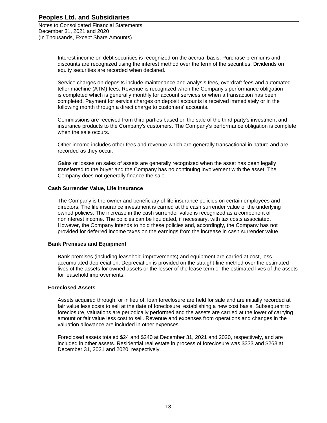Notes to Consolidated Financial Statements December 31, 2021 and 2020 (In Thousands, Except Share Amounts)

> Interest income on debt securities is recognized on the accrual basis. Purchase premiums and discounts are recognized using the interest method over the term of the securities. Dividends on equity securities are recorded when declared.

Service charges on deposits include maintenance and analysis fees, overdraft fees and automated teller machine (ATM) fees. Revenue is recognized when the Company's performance obligation is completed which is generally monthly for account services or when a transaction has been completed. Payment for service charges on deposit accounts is received immediately or in the following month through a direct charge to customers' accounts.

Commissions are received from third parties based on the sale of the third party's investment and insurance products to the Company's customers. The Company's performance obligation is complete when the sale occurs.

Other income includes other fees and revenue which are generally transactional in nature and are recorded as they occur.

Gains or losses on sales of assets are generally recognized when the asset has been legally transferred to the buyer and the Company has no continuing involvement with the asset. The Company does not generally finance the sale.

#### **Cash Surrender Value, Life Insurance**

The Company is the owner and beneficiary of life insurance policies on certain employees and directors. The life insurance investment is carried at the cash surrender value of the underlying owned policies. The increase in the cash surrender value is recognized as a component of noninterest income. The policies can be liquidated, if necessary, with tax costs associated. However, the Company intends to hold these policies and, accordingly, the Company has not provided for deferred income taxes on the earnings from the increase in cash surrender value.

#### **Bank Premises and Equipment**

Bank premises (including leasehold improvements) and equipment are carried at cost, less accumulated depreciation. Depreciation is provided on the straight-line method over the estimated lives of the assets for owned assets or the lesser of the lease term or the estimated lives of the assets for leasehold improvements.

#### **Foreclosed Assets**

Assets acquired through, or in lieu of, loan foreclosure are held for sale and are initially recorded at fair value less costs to sell at the date of foreclosure, establishing a new cost basis. Subsequent to foreclosure, valuations are periodically performed and the assets are carried at the lower of carrying amount or fair value less cost to sell. Revenue and expenses from operations and changes in the valuation allowance are included in other expenses.

Foreclosed assets totaled \$24 and \$240 at December 31, 2021 and 2020, respectively, and are included in other assets. Residential real estate in process of foreclosure was \$333 and \$263 at December 31, 2021 and 2020, respectively.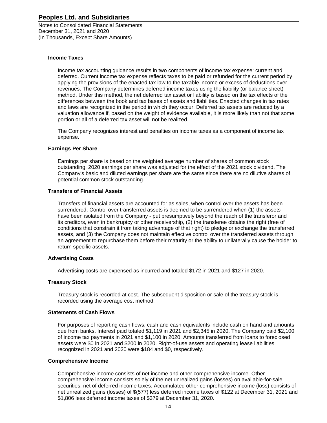Notes to Consolidated Financial Statements December 31, 2021 and 2020 (In Thousands, Except Share Amounts)

#### **Income Taxes**

Income tax accounting guidance results in two components of income tax expense: current and deferred. Current income tax expense reflects taxes to be paid or refunded for the current period by applying the provisions of the enacted tax law to the taxable income or excess of deductions over revenues. The Company determines deferred income taxes using the liability (or balance sheet) method. Under this method, the net deferred tax asset or liability is based on the tax effects of the differences between the book and tax bases of assets and liabilities. Enacted changes in tax rates and laws are recognized in the period in which they occur. Deferred tax assets are reduced by a valuation allowance if, based on the weight of evidence available, it is more likely than not that some portion or all of a deferred tax asset will not be realized.

The Company recognizes interest and penalties on income taxes as a component of income tax expense.

#### **Earnings Per Share**

Earnings per share is based on the weighted average number of shares of common stock outstanding. 2020 earnings per share was adjusted for the effect of the 2021 stock dividend. The Company's basic and diluted earnings per share are the same since there are no dilutive shares of potential common stock outstanding.

#### **Transfers of Financial Assets**

Transfers of financial assets are accounted for as sales, when control over the assets has been surrendered. Control over transferred assets is deemed to be surrendered when (1) the assets have been isolated from the Company - put presumptively beyond the reach of the transferor and its creditors, even in bankruptcy or other receivership, (2) the transferee obtains the right (free of conditions that constrain it from taking advantage of that right) to pledge or exchange the transferred assets, and (3) the Company does not maintain effective control over the transferred assets through an agreement to repurchase them before their maturity or the ability to unilaterally cause the holder to return specific assets.

#### **Advertising Costs**

Advertising costs are expensed as incurred and totaled \$172 in 2021 and \$127 in 2020.

#### **Treasury Stock**

Treasury stock is recorded at cost. The subsequent disposition or sale of the treasury stock is recorded using the average cost method.

#### **Statements of Cash Flows**

For purposes of reporting cash flows, cash and cash equivalents include cash on hand and amounts due from banks. Interest paid totaled \$1,119 in 2021 and \$2,345 in 2020. The Company paid \$2,100 of income tax payments in 2021 and \$1,100 in 2020. Amounts transferred from loans to foreclosed assets were \$0 in 2021 and \$200 in 2020. Right-of-use assets and operating lease liabilities recognized in 2021 and 2020 were \$184 and \$0, respectively.

#### **Comprehensive Income**

Comprehensive income consists of net income and other comprehensive income. Other comprehensive income consists solely of the net unrealized gains (losses) on available-for-sale securities, net of deferred income taxes. Accumulated other comprehensive income (loss) consists of net unrealized gains (losses) of \$(577) less deferred income taxes of \$122 at December 31, 2021 and \$1,806 less deferred income taxes of \$379 at December 31, 2020.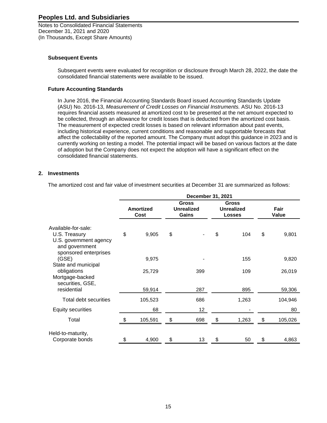Notes to Consolidated Financial Statements December 31, 2021 and 2020 (In Thousands, Except Share Amounts)

#### **Subsequent Events**

Subsequent events were evaluated for recognition or disclosure through March 28, 2022, the date the consolidated financial statements were available to be issued.

#### **Future Accounting Standards**

In June 2016, the Financial Accounting Standards Board issued Accounting Standards Update (ASU) No. 2016-13, *Measurement of Credit Losses on Financial Instruments.* ASU No. 2016-13 requires financial assets measured at amortized cost to be presented at the net amount expected to be collected, through an allowance for credit losses that is deducted from the amortized cost basis. The measurement of expected credit losses is based on relevant information about past events, including historical experience, current conditions and reasonable and supportable forecasts that affect the collectability of the reported amount. The Company must adopt this guidance in 2023 and is currently working on testing a model. The potential impact will be based on various factors at the date of adoption but the Company does not expect the adoption will have a significant effect on the consolidated financial statements.

#### **2. Investments**

The amortized cost and fair value of investment securities at December 31 are summarized as follows:

|                                                                                    | December 31, 2021 |                          |                                            |     |    |                                             |               |         |  |  |  |
|------------------------------------------------------------------------------------|-------------------|--------------------------|--------------------------------------------|-----|----|---------------------------------------------|---------------|---------|--|--|--|
|                                                                                    |                   | <b>Amortized</b><br>Cost | <b>Gross</b><br><b>Unrealized</b><br>Gains |     |    | Gross<br><b>Unrealized</b><br><b>Losses</b> | Fair<br>Value |         |  |  |  |
| Available-for-sale:                                                                |                   |                          |                                            |     |    |                                             |               |         |  |  |  |
| U.S. Treasury<br>U.S. government agency<br>and government<br>sponsored enterprises | \$                | 9,905                    | \$                                         |     | \$ | 104                                         | \$            | 9,801   |  |  |  |
| (GSE)                                                                              |                   | 9,975                    |                                            |     |    | 155                                         |               | 9,820   |  |  |  |
| State and municipal<br>obligations<br>Mortgage-backed<br>securities, GSE,          |                   | 25,729                   |                                            | 399 |    | 109                                         |               | 26,019  |  |  |  |
| residential                                                                        |                   | 59,914                   |                                            | 287 |    | 895                                         |               | 59,306  |  |  |  |
| Total debt securities                                                              |                   | 105,523                  |                                            | 686 |    | 1,263                                       |               | 104,946 |  |  |  |
| Equity securities                                                                  |                   | 68                       |                                            | 12  |    |                                             |               | 80      |  |  |  |
| Total                                                                              |                   | 105,591                  | \$                                         | 698 | \$ | 1,263                                       | \$            | 105,026 |  |  |  |
| Held-to-maturity,                                                                  |                   |                          |                                            |     |    |                                             |               |         |  |  |  |
| Corporate bonds                                                                    | \$                | 4,900                    | \$                                         | 13  | \$ | 50                                          | \$            | 4,863   |  |  |  |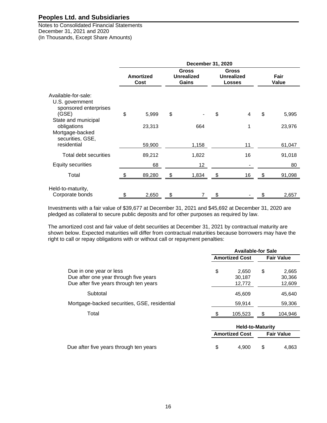Notes to Consolidated Financial Statements December 31, 2021 and 2020 (In Thousands, Except Share Amounts)

|                                                                 | December 31, 2020 |                          |    |                                            |    |                                             |                      |        |  |  |  |
|-----------------------------------------------------------------|-------------------|--------------------------|----|--------------------------------------------|----|---------------------------------------------|----------------------|--------|--|--|--|
|                                                                 |                   | <b>Amortized</b><br>Cost |    | <b>Gross</b><br><b>Unrealized</b><br>Gains |    | <b>Gross</b><br><b>Unrealized</b><br>Losses | Fair<br><b>Value</b> |        |  |  |  |
| Available-for-sale:<br>U.S. government<br>sponsored enterprises |                   |                          |    |                                            |    |                                             |                      |        |  |  |  |
| (GSE)<br>State and municipal                                    | \$                | 5,999                    | \$ |                                            | \$ | 4                                           | \$                   | 5,995  |  |  |  |
| obligations<br>Mortgage-backed<br>securities, GSE,              |                   | 23,313                   |    | 664                                        |    | 1                                           |                      | 23,976 |  |  |  |
| residential                                                     |                   | 59,900                   |    | 1,158                                      |    | 11                                          |                      | 61,047 |  |  |  |
| Total debt securities                                           |                   | 89,212                   |    | 1,822                                      |    | 16                                          |                      | 91,018 |  |  |  |
| <b>Equity securities</b>                                        |                   | 68                       |    | 12                                         |    |                                             |                      | 80     |  |  |  |
| Total                                                           |                   | 89,280                   | \$ | 1,834                                      | \$ | 16                                          | \$                   | 91,098 |  |  |  |
| Held-to-maturity,                                               |                   |                          |    |                                            |    |                                             |                      |        |  |  |  |
| Corporate bonds                                                 | \$                | 2,650                    | \$ | 7                                          | S  |                                             |                      | 2,657  |  |  |  |

Investments with a fair value of \$39,677 at December 31, 2021 and \$45,692 at December 31, 2020 are pledged as collateral to secure public deposits and for other purposes as required by law.

The amortized cost and fair value of debt securities at December 31, 2021 by contractual maturity are shown below. Expected maturities will differ from contractual maturities because borrowers may have the right to call or repay obligations with or without call or repayment penalties:

|                                                                                                            | <b>Available-for Sale</b>                                             |                           |    |                           |  |
|------------------------------------------------------------------------------------------------------------|-----------------------------------------------------------------------|---------------------------|----|---------------------------|--|
|                                                                                                            | <b>Amortized Cost</b>                                                 |                           |    | <b>Fair Value</b>         |  |
| Due in one year or less<br>Due after one year through five years<br>Due after five years through ten years | \$                                                                    | 2,650<br>30,187<br>12,772 | \$ | 2,665<br>30,366<br>12,609 |  |
| Subtotal                                                                                                   |                                                                       | 45,609                    |    | 45,640                    |  |
| Mortgage-backed securities, GSE, residential                                                               |                                                                       | 59,914                    |    | 59,306                    |  |
| Total                                                                                                      | £.                                                                    | 105,523                   |    | 104,946                   |  |
|                                                                                                            | <b>Held-to-Maturity</b><br><b>Amortized Cost</b><br>\$<br>\$<br>4.900 |                           |    |                           |  |
|                                                                                                            |                                                                       |                           |    | <b>Fair Value</b>         |  |
| Due after five years through ten years                                                                     |                                                                       |                           |    | 4,863                     |  |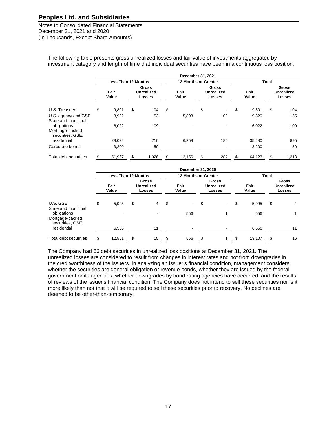Notes to Consolidated Financial Statements December 31, 2021 and 2020 (In Thousands, Except Share Amounts)

The following table presents gross unrealized losses and fair value of investments aggregated by investment category and length of time that individual securities have been in a continuous loss position:

|                                                    | December 31, 2021 |                            |    |                                      |    |                             |    |                                             |    |               |    |                                      |  |
|----------------------------------------------------|-------------------|----------------------------|----|--------------------------------------|----|-----------------------------|----|---------------------------------------------|----|---------------|----|--------------------------------------|--|
|                                                    |                   | <b>Less Than 12 Months</b> |    |                                      |    | <b>12 Months or Greater</b> |    |                                             |    | <b>Total</b>  |    |                                      |  |
|                                                    |                   | Fair<br>Value              |    | Gross<br><b>Unrealized</b><br>Losses |    | Fair<br>Value               |    | <b>Gross</b><br><b>Unrealized</b><br>Losses |    | Fair<br>Value |    | Gross<br><b>Unrealized</b><br>Losses |  |
| U.S. Treasury                                      | \$                | 9,801                      | \$ | 104                                  | \$ | $\overline{a}$              | \$ | $\overline{\phantom{0}}$                    | \$ | 9,801         | \$ | 104                                  |  |
| U.S. agency and GSE<br>State and municipal         |                   | 3,922                      |    | 53                                   |    | 5,898                       |    | 102                                         |    | 9,820         |    | 155                                  |  |
| obligations<br>Mortgage-backed<br>securities, GSE, |                   | 6,022                      |    | 109                                  |    |                             |    |                                             |    | 6,022         |    | 109                                  |  |
| residential                                        |                   | 29,022                     |    | 710                                  |    | 6,258                       |    | 185                                         |    | 35,280        |    | 895                                  |  |
| Corporate bonds                                    |                   | 3,200                      |    | 50                                   |    |                             |    |                                             |    | 3,200         |    | 50                                   |  |
| Total debt securities                              | \$                | 51,967                     | \$ | 1,026                                | S  | 12,156                      | S  | 287                                         | \$ | 64,123        | \$ | 1,313                                |  |

|                                                    |                            |                                             | December 31, 2020           |    |                                                    |    |               |    |                                                    |  |
|----------------------------------------------------|----------------------------|---------------------------------------------|-----------------------------|----|----------------------------------------------------|----|---------------|----|----------------------------------------------------|--|
|                                                    | <b>Less Than 12 Months</b> |                                             | <b>12 Months or Greater</b> |    |                                                    |    | Total         |    |                                                    |  |
|                                                    | Fair<br>Value              | Gross<br><b>Unrealized</b><br><b>Losses</b> | Fair<br>Value               |    | <b>Gross</b><br><b>Unrealized</b><br><b>Losses</b> |    | Fair<br>Value |    | <b>Gross</b><br><b>Unrealized</b><br><b>Losses</b> |  |
| U.S. GSE<br>State and municipal                    | \$<br>5,995                | \$<br>4                                     | \$<br>$\sim$                | \$ | $\overline{\phantom{a}}$                           | \$ | 5,995         | \$ | 4                                                  |  |
| obligations<br>Mortgage-backed<br>securities, GSE, | ٠                          | $\overline{\phantom{a}}$                    | 556                         |    |                                                    |    | 556           |    |                                                    |  |
| residential                                        | 6,556                      | 11                                          |                             |    |                                                    |    | 6,556         |    | 11                                                 |  |
| Total debt securities                              | \$<br>12.551               | \$<br>15                                    | \$<br>556                   | \$ |                                                    | \$ | 13,107        | \$ | 16                                                 |  |

The Company had 66 debt securities in unrealized loss positions at December 31, 2021. The unrealized losses are considered to result from changes in interest rates and not from downgrades in the creditworthiness of the issuers. In analyzing an issuer's financial condition, management considers whether the securities are general obligation or revenue bonds, whether they are issued by the federal government or its agencies, whether downgrades by bond rating agencies have occurred, and the results of reviews of the issuer's financial condition. The Company does not intend to sell these securities nor is it more likely than not that it will be required to sell these securities prior to recovery. No declines are deemed to be other-than-temporary.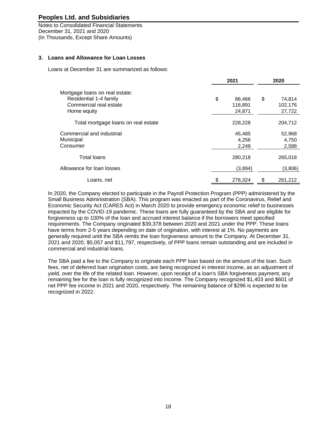Notes to Consolidated Financial Statements December 31, 2021 and 2020 (In Thousands, Except Share Amounts)

#### **3. Loans and Allowance for Loan Losses**

Loans at December 31 are summarized as follows:

|                                                                                                   |    | 2020                        |    |                             |
|---------------------------------------------------------------------------------------------------|----|-----------------------------|----|-----------------------------|
| Mortgage loans on real estate:<br>Residential 1-4 family<br>Commercial real estate<br>Home equity | \$ | 86,466<br>116,891<br>24,871 | \$ | 74,814<br>102,176<br>27,722 |
| Total mortgage loans on real estate                                                               |    | 228,228                     |    | 204,712                     |
| Commercial and industrial<br>Municipal<br>Consumer                                                |    | 45.485<br>4,256<br>2,249    |    | 52,968<br>4,750<br>2,588    |
| <b>Total loans</b>                                                                                |    | 280,218                     |    | 265,018                     |
| Allowance for loan losses                                                                         |    | (3,894)                     |    | (3,806)                     |
| Loans, net                                                                                        | \$ | 276.324                     | \$ | 261,212                     |

In 2020, the Company elected to participate in the Payroll Protection Program (PPP) administered by the Small Business Administration (SBA). This program was enacted as part of the Coronavirus, Relief and Economic Security Act (CARES Act) in March 2020 to provide emergency economic relief to businesses impacted by the COVID-19 pandemic. These loans are fully guaranteed by the SBA and are eligible for forgiveness up to 100% of the loan and accrued interest balance if the borrowers meet specified requirements. The Company originated \$39,378 between 2020 and 2021 under the PPP. These loans have terms from 2-5 years depending on date of origination, with interest at 1%. No payments are generally required until the SBA remits the loan forgiveness amount to the Company. At December 31, 2021 and 2020, \$5,057 and \$11,797, respectively, of PPP loans remain outstanding and are included in commercial and industrial loans.

The SBA paid a fee to the Company to originate each PPP loan based on the amount of the loan. Such fees, net of deferred loan origination costs, are being recognized in interest income, as an adjustment of yield, over the life of the related loan. However, upon receipt of a loan's SBA forgiveness payment, any remaining fee for the loan is fully recognized into income. The Company recognized \$1,403 and \$601 of net PPP fee income in 2021 and 2020, respectively. The remaining balance of \$296 is expected to be recognized in 2022.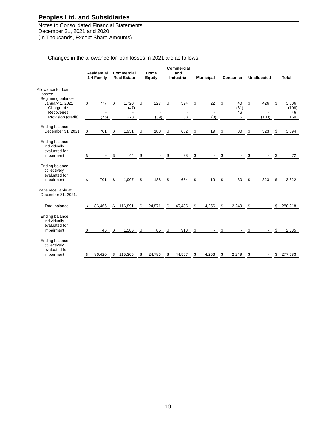Notes to Consolidated Financial Statements December 31, 2021 and 2020 (In Thousands, Except Share Amounts)

Changes in the allowance for loan losses in 2021 are as follows:

|                                                                                                                           |    | <b>Residential</b><br>1-4 Family |    | Commercial<br><b>Real Estate</b>                 |    | Home<br>Equity                          | <b>Commercial</b><br>and<br>Industrial |               | <b>Municipal</b>            | <b>Consumer</b>             |     | <b>Unallocated</b> |     | <b>Total</b>                |
|---------------------------------------------------------------------------------------------------------------------------|----|----------------------------------|----|--------------------------------------------------|----|-----------------------------------------|----------------------------------------|---------------|-----------------------------|-----------------------------|-----|--------------------|-----|-----------------------------|
| Allowance for loan<br>losses:<br>Beginning balance,<br>January 1, 2021<br>Charge-offs<br>Recoveries<br>Provision (credit) | \$ | 777<br>(76)                      | \$ | 1,720<br>(47)<br>$\overline{\phantom{a}}$<br>278 | \$ | 227<br>$\overline{\phantom{a}}$<br>(39) | \$<br>594<br>88                        | \$            | 22<br>$\blacksquare$<br>(3) | \$<br>40<br>(61)<br>46<br>5 | \$  | 426<br>(103)       | \$  | 3,806<br>(108)<br>46<br>150 |
| Ending balance,<br>December 31, 2021                                                                                      | \$ | 701                              | \$ | 1,951                                            | \$ | 188                                     | \$<br>682                              | \$            | 19                          | \$<br>30                    | -\$ | 323                | -\$ | 3,894                       |
| Ending balance,<br>individually<br>evaluated for<br>impairment                                                            | \$ |                                  | \$ | 44                                               | \$ |                                         | \$<br>28                               | $\frac{3}{2}$ |                             | \$                          | \$  |                    | \$  | 72                          |
| Ending balance,<br>collectively<br>evaluated for<br>impairment                                                            | S. | 701                              | \$ | 1,907                                            | \$ | 188                                     | \$<br>654                              | \$            | 19                          | \$<br>30                    | \$  | 323                | \$  | 3,822                       |
| Loans receivable at<br>December 31, 2021:                                                                                 |    |                                  |    |                                                  |    |                                         |                                        |               |                             |                             |     |                    |     |                             |
| <b>Total balance</b>                                                                                                      | S  | 86,466                           | S  | 116,891                                          | S  | 24,871                                  | \$<br>45,485                           | \$            | 4,256                       | \$<br>2,249                 | \$  |                    | S   | 280,218                     |
| Ending balance,<br>individually<br>evaluated for<br>impairment                                                            | \$ | 46                               | \$ | 1,586                                            | \$ | 85                                      | \$<br>918                              | \$            |                             |                             |     |                    |     | 2,635                       |
| Ending balance,<br>collectively<br>evaluated for<br>impairment                                                            | S  | 86,420                           | \$ | 115,305                                          | \$ | 24,786                                  | \$<br>44,567                           | \$            | 4,256                       | \$<br>2,249                 | \$  |                    | \$  | 277,583                     |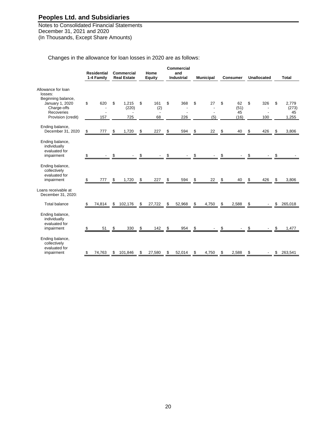Notes to Consolidated Financial Statements December 31, 2021 and 2020 (In Thousands, Except Share Amounts)

Changes in the allowance for loan losses in 2020 are as follows:

|                                                                        |    | <b>Residential</b><br>1-4 Family |      | <b>Commercial</b><br><b>Real Estate</b>  |            | Home<br><b>Equity</b>                 | <b>Commercial</b><br>and<br>Industrial |     | <b>Municipal</b> |      | <b>Consumer</b>    |    | Unallocated |     | Total                |
|------------------------------------------------------------------------|----|----------------------------------|------|------------------------------------------|------------|---------------------------------------|----------------------------------------|-----|------------------|------|--------------------|----|-------------|-----|----------------------|
| Allowance for loan<br>losses:<br>Beginning balance,<br>January 1, 2020 | \$ | 620                              | \$   | 1,215                                    | \$         | 161                                   | \$<br>368                              | \$  | 27               | \$   | 62                 | \$ | 326         | \$  | 2,779                |
| Charge-offs<br>Recoveries<br>Provision (credit)                        |    | 157                              |      | (220)<br>$\overline{\phantom{a}}$<br>725 |            | (2)<br>$\overline{\phantom{a}}$<br>68 | ٠<br>226                               |     | (5)              |      | (51)<br>45<br>(16) |    | 100         |     | (273)<br>45<br>1,255 |
| Ending balance,                                                        |    |                                  |      |                                          |            |                                       |                                        |     |                  |      |                    |    |             |     |                      |
| December 31, 2020                                                      | \$ | 777                              | - \$ | 1,720                                    | $\sqrt{2}$ | 227                                   | \$<br>594 \$                           |     | $22^{6}$         |      | $40 \quad$ \$      |    | 426         | -\$ | 3,806                |
| Ending balance,<br>individually<br>evaluated for<br>impairment         | \$ |                                  | \$   |                                          | \$         |                                       | \$                                     | \$  |                  | \$   |                    | \$ |             | \$  |                      |
| Ending balance,<br>collectively<br>evaluated for<br>impairment         | \$ | 777                              | \$   | 1,720                                    | \$         | 227                                   | \$<br>594                              | -\$ | 22               | - \$ | 40                 | \$ | 426         | \$  | 3,806                |
| Loans receivable at<br>December 31, 2020:                              |    |                                  |      |                                          |            |                                       |                                        |     |                  |      |                    |    |             |     |                      |
| <b>Total balance</b>                                                   | S  | 74,814                           | \$   | 102,176                                  | S          | 27,722                                | \$<br>52,968                           | \$  | 4,750            | \$   | 2,588              | S  |             | \$  | 265,018              |
| Ending balance,<br>individually<br>evaluated for<br>impairment         | \$ | 51                               | -\$  | 330                                      | \$         | 142                                   | \$<br>954                              | \$  |                  |      |                    |    |             | S   | 1,477                |
| Ending balance,<br>collectively<br>evaluated for<br>impairment         | \$ | 74,763                           | \$   | 101,846                                  | \$         | 27,580                                | \$<br>52,014                           | \$  | 4,750            | \$   | 2,588              | \$ |             | \$  | 263,541              |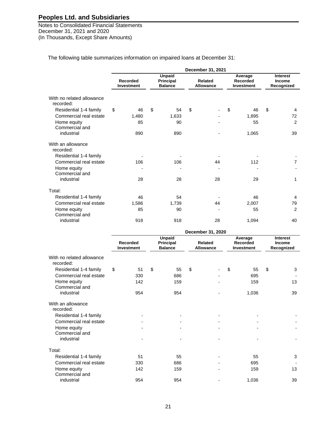Notes to Consolidated Financial Statements December 31, 2021 and 2020 (In Thousands, Except Share Amounts)

The following table summarizes information on impaired loans at December 31:

|                                        |    | <b>Recorded</b><br>Investment | <b>Unpaid</b><br>Principal<br><b>Balance</b> | Related<br><b>Allowance</b>        | Average<br>Recorded<br><b>Investment</b> | <b>Interest</b><br><b>Income</b><br>Recognized |
|----------------------------------------|----|-------------------------------|----------------------------------------------|------------------------------------|------------------------------------------|------------------------------------------------|
| With no related allowance<br>recorded: |    |                               |                                              |                                    |                                          |                                                |
| Residential 1-4 family                 | \$ | 46                            | \$<br>54                                     | \$                                 | \$<br>46                                 | \$<br>4                                        |
| Commercial real estate                 |    | 1,480                         | 1,633                                        |                                    | 1,895                                    | 72                                             |
| Home equity                            |    | 85                            | 90                                           |                                    | 55                                       | $\overline{2}$                                 |
| Commercial and                         |    |                               |                                              |                                    |                                          |                                                |
| industrial                             |    | 890                           | 890                                          |                                    | 1,065                                    | 39                                             |
| With an allowance<br>recorded:         |    |                               |                                              |                                    |                                          |                                                |
| Residential 1-4 family                 |    |                               |                                              |                                    |                                          |                                                |
| Commercial real estate                 |    | 106                           | 106                                          | 44                                 | 112                                      | $\overline{7}$                                 |
| Home equity                            |    |                               |                                              |                                    |                                          |                                                |
| Commercial and                         |    |                               |                                              |                                    |                                          |                                                |
| industrial                             |    | 28                            | 28                                           | 28                                 | 29                                       | $\mathbf 1$                                    |
| Total:                                 |    |                               |                                              |                                    |                                          |                                                |
| Residential 1-4 family                 |    | 46                            | 54                                           |                                    | 46                                       | 4                                              |
| Commercial real estate                 |    | 1,586                         | 1,739                                        | 44                                 | 2,007                                    | 79                                             |
| Home equity                            |    | 85                            | 90                                           |                                    | 55                                       | 2                                              |
| Commercial and                         |    |                               |                                              |                                    |                                          |                                                |
| industrial                             |    | 918                           | 918                                          | 28                                 | 1,094                                    | 40                                             |
|                                        |    |                               |                                              | December 31, 2020                  |                                          |                                                |
|                                        |    |                               | <b>Unpaid</b>                                |                                    | Average                                  | <b>Interest</b>                                |
|                                        |    | <b>Recorded</b><br>Investment | Principal<br><b>Balance</b>                  | <b>Related</b><br><b>Allowance</b> | Recorded<br><b>Investment</b>            | Income<br>Recognized                           |
|                                        |    |                               |                                              |                                    |                                          |                                                |
| With no related allowance<br>recorded: |    |                               |                                              |                                    |                                          |                                                |
| Residential 1-4 family                 | \$ | 51                            | \$<br>55                                     | \$                                 | \$<br>55                                 | \$<br>3                                        |
| Commercial real estate                 |    | 330                           | 686                                          |                                    | 695                                      |                                                |
| Home equity<br>Commercial and          |    | 142                           | 159                                          |                                    | 159                                      | 13                                             |
| industrial                             |    | 954                           | 954                                          |                                    | 1,036                                    | 39                                             |
| With an allowance<br>recorded:         |    |                               |                                              |                                    |                                          |                                                |
| Residential 1-4 family                 |    |                               |                                              |                                    |                                          |                                                |
| Commercial real estate                 |    |                               |                                              |                                    |                                          |                                                |
| Home equity                            |    |                               |                                              |                                    |                                          |                                                |
| Commercial and                         |    |                               |                                              |                                    |                                          |                                                |
| industrial                             |    |                               |                                              |                                    |                                          |                                                |
| Total:                                 |    |                               |                                              |                                    |                                          |                                                |
| Residential 1-4 family                 |    | 51                            | 55                                           |                                    | 55                                       | 3                                              |
| Commercial real estate                 |    | 330                           | 686                                          |                                    | 695                                      |                                                |
| Home equity                            |    | 142                           | 159                                          |                                    | 159                                      | 13                                             |
| Commercial and                         |    |                               |                                              |                                    |                                          |                                                |
| industrial                             |    | 954                           | 954                                          |                                    | 1,036                                    | 39                                             |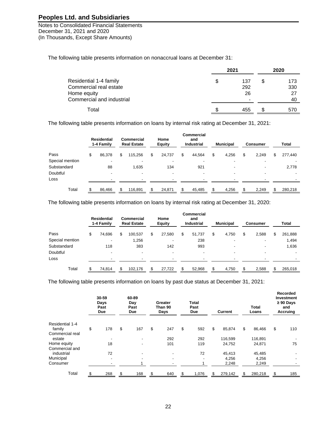Notes to Consolidated Financial Statements December 31, 2021 and 2020 (In Thousands, Except Share Amounts)

The following table presents information on nonaccrual loans at December 31:

|                           |    | 2021                     | 2020 |
|---------------------------|----|--------------------------|------|
| Residential 1-4 family    | \$ | 137                      | 173  |
| Commercial real estate    |    | 292                      | 330  |
| Home equity               |    | 26                       | 27   |
| Commercial and industrial |    | $\overline{\phantom{0}}$ | 40   |
| Total                     | S. | 455                      | 570  |

The following table presents information on loans by internal risk rating at December 31, 2021:

|                 | <b>Residential</b><br>1-4 Family | Commercial<br><b>Real Estate</b> | Home<br><b>Equity</b> | Commercial<br>and<br><b>Industrial</b> | <b>Municipal</b> | <b>Consumer</b>          | Total         |
|-----------------|----------------------------------|----------------------------------|-----------------------|----------------------------------------|------------------|--------------------------|---------------|
| Pass            | \$<br>86,378                     | \$<br>115.256                    | \$<br>24,737          | \$<br>44,564                           | \$<br>4,256      | \$<br>2.249              | \$<br>277,440 |
| Special mention | ٠                                |                                  |                       |                                        | ۰                | $\overline{\phantom{a}}$ |               |
| Substandard     | 88                               | 1,635                            | 134                   | 921                                    | ۰                | $\overline{\phantom{a}}$ | 2,778         |
| Doubtful        | ٠                                |                                  | -                     |                                        |                  | $\overline{\phantom{a}}$ |               |
| Loss            |                                  |                                  |                       |                                        |                  |                          |               |
| Total           | \$<br>86,466                     | 116,891                          | 24,871                | 45,485                                 | 4,256            | 2,249                    | 280,218       |

The following table presents information on loans by internal risk rating at December 31, 2020:

|                 |     | <b>Residential</b><br>1-4 Family |     | Commercial<br><b>Real Estate</b> | Home<br><b>Equity</b> |    | <b>Commercial</b><br>and<br><b>Industrial</b> |   | <b>Municipal</b>         |    | <b>Consumer</b>          | <b>Total</b>  |
|-----------------|-----|----------------------------------|-----|----------------------------------|-----------------------|----|-----------------------------------------------|---|--------------------------|----|--------------------------|---------------|
| Pass            | \$  | 74,696                           | \$  | 100,537                          | \$<br>27,580          | \$ | 51,737                                        | S | 4,750                    | \$ | 2,588                    | \$<br>261,888 |
| Special mention |     | $\overline{\phantom{a}}$         |     | 1,256                            | -                     |    | 238                                           |   | $\overline{\phantom{a}}$ |    | $\overline{\phantom{a}}$ | 1,494         |
| Substandard     |     | 118                              |     | 383                              | 142                   |    | 993                                           |   | -                        |    | $\blacksquare$           | 1,636         |
| Doubtful        |     | -                                |     |                                  |                       |    |                                               |   | -                        |    | $\overline{\phantom{a}}$ |               |
| Loss            |     | -                                |     | $\overline{\phantom{0}}$         |                       |    |                                               |   | $\overline{\phantom{a}}$ |    |                          |               |
| Total           | \$. | 74,814                           | \$. | 102,176                          | 27,722                | £. | 52,968                                        |   | 4,750                    | £. | 2,588                    | \$<br>265,018 |

The following table presents information on loans by past due status at December 31, 2021:

|                           | 30-59<br>Days<br>Past<br><b>Due</b> |    | 60-89<br>Day<br>Past<br>Due | Greater<br>Than 90<br>Days | Total<br>Past<br><b>Due</b> | <b>Current</b> | <b>Total</b><br>Loans | Recorded<br>Investment<br>$\geq 90$ Days<br>and<br>Accruing |
|---------------------------|-------------------------------------|----|-----------------------------|----------------------------|-----------------------------|----------------|-----------------------|-------------------------------------------------------------|
|                           |                                     |    |                             |                            |                             |                |                       |                                                             |
| Residential 1-4           |                                     |    |                             |                            |                             |                |                       |                                                             |
| family<br>Commercial real | \$<br>178                           | \$ | 167                         | \$<br>247                  | \$<br>592                   | \$<br>85,874   | \$<br>86,466          | \$<br>110                                                   |
|                           |                                     |    |                             | 292                        |                             |                |                       |                                                             |
| estate                    |                                     |    |                             |                            | 292                         | 116,599        | 116,891               |                                                             |
| Home equity               | 18                                  |    |                             | 101                        | 119                         | 24,752         | 24,871                | 75                                                          |
| Commercial and            |                                     |    |                             |                            |                             |                |                       |                                                             |
| industrial                | 72                                  |    |                             | -                          | 72                          | 45,413         | 45,485                |                                                             |
| Municipal                 | -                                   |    | ۰.                          | -                          | ٠                           | 4,256          | 4,256                 |                                                             |
| Consumer                  | -                                   |    |                             |                            |                             | 2,248          | 2,249                 |                                                             |
| Total                     | \$<br>268                           | S  | 168                         | \$<br>640                  | \$<br>1,076                 | \$<br>279,142  | \$<br>280,218         | \$<br>185                                                   |
|                           |                                     |    |                             |                            |                             |                |                       |                                                             |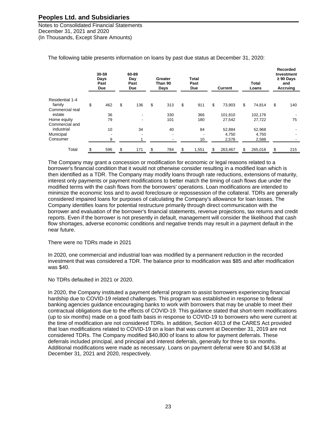Notes to Consolidated Financial Statements December 31, 2021 and 2020 (In Thousands, Except Share Amounts)

|                 | 30-59<br>Days<br>Past<br><b>Due</b> | 60-89<br>Day<br>Past<br>Due | Greater<br>Than 90<br>Days | <b>Total</b><br>Past<br><b>Due</b> | <b>Current</b> | <b>Total</b><br>Loans | Recorded<br>Investment<br>$\geq 90$ Days<br>and<br>Accruing |
|-----------------|-------------------------------------|-----------------------------|----------------------------|------------------------------------|----------------|-----------------------|-------------------------------------------------------------|
|                 |                                     |                             |                            |                                    |                |                       |                                                             |
| Residential 1-4 |                                     |                             |                            |                                    |                |                       |                                                             |
| family          | \$<br>462                           | \$<br>136                   | \$<br>313                  | \$<br>911                          | \$<br>73,903   | \$<br>74,814          | \$<br>140                                                   |
| Commercial real |                                     |                             |                            |                                    |                |                       |                                                             |
| estate          | 36                                  | -                           | 330                        | 366                                | 101,810        | 102,176               |                                                             |
| Home equity     | 79                                  |                             | 101                        | 180                                | 27,542         | 27,722                | 75                                                          |
| Commercial and  |                                     |                             |                            |                                    |                |                       |                                                             |
| industrial      | 10                                  | 34                          | 40                         | 84                                 | 52,884         | 52,968                |                                                             |
| Municipal       |                                     | -                           | $\overline{\phantom{a}}$   | -                                  | 4,750          | 4,750                 | $\overline{\phantom{a}}$                                    |
| Consumer        | 9                                   |                             |                            | 10                                 | 2,578          | 2,588                 |                                                             |
| Total           | \$<br>596                           | \$<br>171                   | \$<br>784                  | \$<br>1,551                        | \$<br>263,467  | \$<br>265,018         | \$<br>215                                                   |

The following table presents information on loans by past due status at December 31, 2020:

The Company may grant a concession or modification for economic or legal reasons related to a borrower's financial condition that it would not otherwise consider resulting in a modified loan which is then identified as a TDR. The Company may modify loans through rate reductions, extensions of maturity, interest only payments or payment modifications to better match the timing of cash flows due under the modified terms with the cash flows from the borrowers' operations. Loan modifications are intended to minimize the economic loss and to avoid foreclosure or repossession of the collateral. TDRs are generally considered impaired loans for purposes of calculating the Company's allowance for loan losses. The Company identifies loans for potential restructure primarily through direct communication with the borrower and evaluation of the borrower's financial statements, revenue projections, tax returns and credit reports. Even if the borrower is not presently in default, management will consider the likelihood that cash flow shortages, adverse economic conditions and negative trends may result in a payment default in the near future.

#### There were no TDRs made in 2021

In 2020, one commercial and industrial loan was modified by a permanent reduction in the recorded investment that was considered a TDR. The balance prior to modification was \$85 and after modification was \$40.

No TDRs defaulted in 2021 or 2020.

In 2020, the Company instituted a payment deferral program to assist borrowers experiencing financial hardship due to COVID-19 related challenges. This program was established in response to federal banking agencies guidance encouraging banks to work with borrowers that may be unable to meet their contractual obligations due to the effects of COVID-19. This guidance stated that short-term modifications (up to six months) made on a good faith basis in response to COVID-19 to borrowers who were current at the time of modification are not considered TDRs. In addition, Section 4013 of the CARES Act provided that loan modifications related to COVID-19 on a loan that was current at December 31, 2019 are not considered TDRs. The Company modified \$40,800 of loans to allow for payment deferrals. These deferrals included principal, and principal and interest deferrals, generally for three to six months. Additional modifications were made as necessary. Loans on payment deferral were \$0 and \$4,638 at December 31, 2021 and 2020, respectively.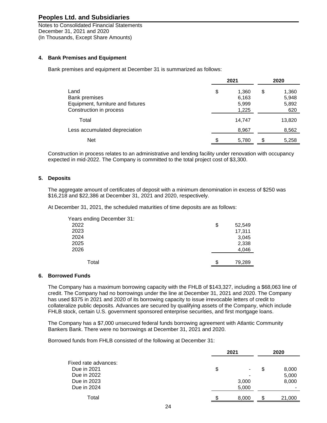Notes to Consolidated Financial Statements December 31, 2021 and 2020 (In Thousands, Except Share Amounts)

#### **4. Bank Premises and Equipment**

Bank premises and equipment at December 31 is summarized as follows:

|                                                                                              |     | 2021                             |     | 2020                           |
|----------------------------------------------------------------------------------------------|-----|----------------------------------|-----|--------------------------------|
| Land<br><b>Bank premises</b><br>Equipment, furniture and fixtures<br>Construction in process | \$  | 1,360<br>6,163<br>5,999<br>1,225 | \$  | 1,360<br>5,948<br>5,892<br>620 |
| Total                                                                                        |     | 14.747                           |     | 13,820                         |
| Less accumulated depreciation<br><b>Net</b>                                                  | \$. | 8,967<br>5,780                   | \$. | 8,562<br>5,258                 |

Construction in process relates to an administrative and lending facility under renovation with occupancy expected in mid-2022. The Company is committed to the total project cost of \$3,300.

#### **5. Deposits**

The aggregate amount of certificates of deposit with a minimum denomination in excess of \$250 was \$16,218 and \$22,386 at December 31, 2021 and 2020, respectively.

At December 31, 2021, the scheduled maturities of time deposits are as follows:

| Years ending December 31: |              |
|---------------------------|--------------|
| 2022                      | \$<br>52,549 |
| 2023                      | 17,311       |
| 2024                      | 3,045        |
| 2025                      | 2,338        |
| 2026                      | 4,046        |
|                           |              |
| Total                     | \$<br>79,289 |

#### **6. Borrowed Funds**

The Company has a maximum borrowing capacity with the FHLB of \$143,327, including a \$68,063 line of credit. The Company had no borrowings under the line at December 31, 2021 and 2020. The Company has used \$375 in 2021 and 2020 of its borrowing capacity to issue irrevocable letters of credit to collateralize public deposits. Advances are secured by qualifying assets of the Company, which include FHLB stock, certain U.S. government sponsored enterprise securities, and first mortgage loans.

The Company has a \$7,000 unsecured federal funds borrowing agreement with Atlantic Community Bankers Bank. There were no borrowings at December 31, 2021 and 2020.

Borrowed funds from FHLB consisted of the following at December 31:

|                      | 2021                           |     | 2020   |  |
|----------------------|--------------------------------|-----|--------|--|
| Fixed rate advances: |                                |     |        |  |
| Due in 2021          | \$<br>$\overline{\phantom{a}}$ | \$  | 8,000  |  |
| Due in 2022          | $\overline{\phantom{a}}$       |     | 5,000  |  |
| Due in 2023          | 3,000                          |     | 8,000  |  |
| Due in 2024          | 5,000                          |     |        |  |
| Total                | \$<br>8,000                    | \$. | 21,000 |  |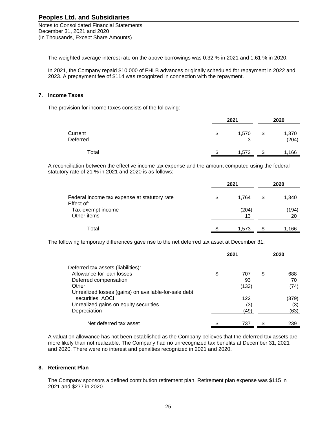Notes to Consolidated Financial Statements December 31, 2021 and 2020 (In Thousands, Except Share Amounts)

The weighted average interest rate on the above borrowings was 0.32 % in 2021 and 1.61 % in 2020.

In 2021, the Company repaid \$10,000 of FHLB advances originally scheduled for repayment in 2022 and 2023. A prepayment fee of \$114 was recognized in connection with the repayment.

#### **7. Income Taxes**

The provision for income taxes consists of the following:

|                     |      | 2021       |    | 2020           |
|---------------------|------|------------|----|----------------|
| Current<br>Deferred | \$   | 1,570<br>3 | \$ | 1,370<br>(204) |
| Total               | - 11 | 1,573      | S  | 1,166          |

A reconciliation between the effective income tax expense and the amount computed using the federal statutory rate of 21 % in 2021 and 2020 is as follows:

|                                                            |   | 2021  | 2020 |       |  |
|------------------------------------------------------------|---|-------|------|-------|--|
| Federal income tax expense at statutory rate<br>Effect of: | S | 1.764 | S    | 1,340 |  |
| Tax-exempt income                                          |   | (204) |      | (194) |  |
| Other items                                                |   | 13    |      | 20    |  |
| Total                                                      |   | 1.573 |      | 1,166 |  |

The following temporary differences gave rise to the net deferred tax asset at December 31:

|                                                      | 2021      | 2020 |       |
|------------------------------------------------------|-----------|------|-------|
| Deferred tax assets (liabilities):                   |           |      |       |
| Allowance for loan losses                            | \$<br>707 | \$   | 688   |
| Deferred compensation                                | 93        |      | 70    |
| Other                                                | (133)     |      | (74)  |
| Unrealized losses (gains) on available-for-sale debt |           |      |       |
| securities, AOCI                                     | 122       |      | (379) |
| Unrealized gains on equity securities                | (3)       |      | (3)   |
| Depreciation                                         | (49)      |      | (63)  |
| Net deferred tax asset                               | \$<br>737 | S    | 239   |

A valuation allowance has not been established as the Company believes that the deferred tax assets are more likely than not realizable. The Company had no unrecognized tax benefits at December 31, 2021 and 2020. There were no interest and penalties recognized in 2021 and 2020.

#### **8. Retirement Plan**

The Company sponsors a defined contribution retirement plan. Retirement plan expense was \$115 in 2021 and \$277 in 2020.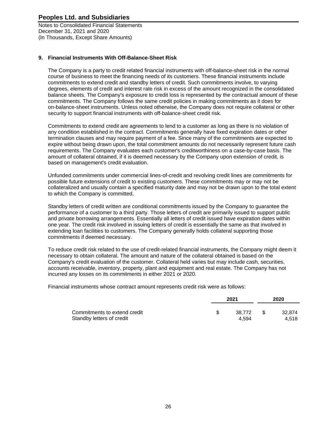Notes to Consolidated Financial Statements December 31, 2021 and 2020 (In Thousands, Except Share Amounts)

#### **9. Financial Instruments With Off-Balance-Sheet Risk**

The Company is a party to credit related financial instruments with off-balance-sheet risk in the normal course of business to meet the financing needs of its customers. These financial instruments include commitments to extend credit and standby letters of credit. Such commitments involve, to varying degrees, elements of credit and interest rate risk in excess of the amount recognized in the consolidated balance sheets. The Company's exposure to credit loss is represented by the contractual amount of these commitments. The Company follows the same credit policies in making commitments as it does for on-balance-sheet instruments. Unless noted otherwise, the Company does not require collateral or other security to support financial instruments with off-balance-sheet credit risk.

Commitments to extend credit are agreements to lend to a customer as long as there is no violation of any condition established in the contract. Commitments generally have fixed expiration dates or other termination clauses and may require payment of a fee. Since many of the commitments are expected to expire without being drawn upon, the total commitment amounts do not necessarily represent future cash requirements. The Company evaluates each customer's creditworthiness on a case-by-case basis. The amount of collateral obtained, if it is deemed necessary by the Company upon extension of credit, is based on management's credit evaluation.

Unfunded commitments under commercial lines-of-credit and revolving credit lines are commitments for possible future extensions of credit to existing customers. These commitments may or may not be collateralized and usually contain a specified maturity date and may not be drawn upon to the total extent to which the Company is committed.

Standby letters of credit written are conditional commitments issued by the Company to guarantee the performance of a customer to a third party. Those letters of credit are primarily issued to support public and private borrowing arrangements. Essentially all letters of credit issued have expiration dates within one year. The credit risk involved in issuing letters of credit is essentially the same as that involved in extending loan facilities to customers. The Company generally holds collateral supporting those commitments if deemed necessary.

To reduce credit risk related to the use of credit-related financial instruments, the Company might deem it necessary to obtain collateral. The amount and nature of the collateral obtained is based on the Company's credit evaluation of the customer. Collateral held varies but may include cash, securities, accounts receivable, inventory, property, plant and equipment and real estate. The Company has not incurred any losses on its commitments in either 2021 or 2020.

Financial instruments whose contract amount represents credit risk were as follows:

|                                                           | 2021            | 2020            |  |  |
|-----------------------------------------------------------|-----------------|-----------------|--|--|
| Commitments to extend credit<br>Standby letters of credit | 38.772<br>4.594 | 32.874<br>4.518 |  |  |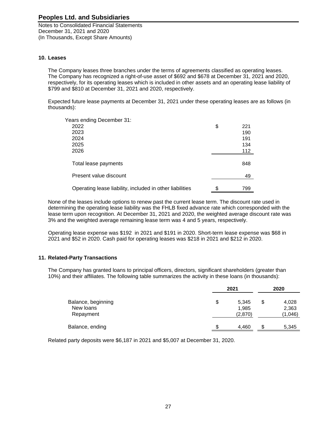Notes to Consolidated Financial Statements December 31, 2021 and 2020 (In Thousands, Except Share Amounts)

#### **10. Leases**

The Company leases three branches under the terms of agreements classified as operating leases. The Company has recognized a right-of-use asset of \$692 and \$678 at December 31, 2021 and 2020, respectively, for its operating leases which is included in other assets and an operating lease liability of \$799 and \$810 at December 31, 2021 and 2020, respectively.

Expected future lease payments at December 31, 2021 under these operating leases are as follows (in thousands):

| Years ending December 31:                                |           |
|----------------------------------------------------------|-----------|
| 2022                                                     | \$<br>221 |
| 2023                                                     | 190       |
| 2024                                                     | 191       |
| 2025                                                     | 134       |
| 2026                                                     | 112       |
| Total lease payments                                     | 848       |
| Present value discount                                   | 49        |
| Operating lease liability, included in other liabilities | \$<br>799 |

None of the leases include options to renew past the current lease term. The discount rate used in determining the operating lease liability was the FHLB fixed advance rate which corresponded with the lease term upon recognition. At December 31, 2021 and 2020, the weighted average discount rate was 3% and the weighted average remaining lease term was 4 and 5 years, respectively.

Operating lease expense was \$192 in 2021 and \$191 in 2020. Short-term lease expense was \$68 in 2021 and \$52 in 2020. Cash paid for operating leases was \$218 in 2021 and \$212 in 2020.

#### **11. Related-Party Transactions**

The Company has granted loans to principal officers, directors, significant shareholders (greater than 10%) and their affiliates. The following table summarizes the activity in these loans (in thousands):

|                                              | 2021                            |     |                           |  |  |
|----------------------------------------------|---------------------------------|-----|---------------------------|--|--|
| Balance, beginning<br>New loans<br>Repayment | \$<br>5,345<br>1,985<br>(2,870) | \$  | 4,028<br>2,363<br>(1,046) |  |  |
| Balance, ending                              | 4.460                           | ۰T) | 5,345                     |  |  |

Related party deposits were \$6,187 in 2021 and \$5,007 at December 31, 2020.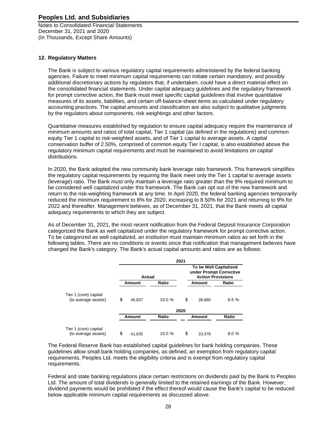Notes to Consolidated Financial Statements December 31, 2021 and 2020 (In Thousands, Except Share Amounts)

#### **12. Regulatory Matters**

The Bank is subject to various regulatory capital requirements administered by the federal banking agencies. Failure to meet minimum capital requirements can initiate certain mandatory, and possibly additional discretionary actions by regulators that, if undertaken, could have a direct material effect on the consolidated financial statements. Under capital adequacy guidelines and the regulatory framework for prompt corrective action, the Bank must meet specific capital guidelines that involve quantitative measures of its assets, liabilities, and certain off-balance-sheet items as calculated under regulatory accounting practices. The capital amounts and classification are also subject to qualitative judgments by the regulators about components, risk weightings and other factors.

Quantitative measures established by regulation to ensure capital adequacy require the maintenance of minimum amounts and ratios of total capital, Tier 1 capital (as defined in the regulations) and common equity Tier 1 capital to risk-weighted assets, and of Tier 1 capital to average assets. A capital conservation buffer of 2.50%, comprised of common equity Tier I capital, is also established above the regulatory minimum capital requirements and must be maintained to avoid limitations on capital distributions.

In 2020, the Bank adopted the new community bank leverage ratio framework. This framework simplifies the regulatory capital requirements by requiring the Bank meet only the Tier 1 capital to average assets (leverage) ratio. The Bank must only maintain a leverage ratio greater than the 9% required minimum to be considered well capitalized under this framework. The Bank can opt out of the new framework and return to the risk-weighting framework at any time. In April 2020, the federal banking agencies temporarily reduced the minimum requirement to 8% for 2020, increasing to 8.50% for 2021 and returning to 9% for 2022 and thereafter. Management believes, as of December 31, 2021, that the Bank meets all capital adequacy requirements to which they are subject.

As of December 31, 2021, the most recent notification from the Federal Deposit Insurance Corporation categorized the Bank as well capitalized under the regulatory framework for prompt corrective action. To be categorized as well capitalized, an institution must maintain minimum ratios as set forth in the following tables. There are no conditions or events since that notification that management believes have changed the Bank's category. The Bank's actual capital amounts and ratios are as follows:

|                                              |    | 2021   |        |              |                                                           |                         |  |  |  |  |
|----------------------------------------------|----|--------|--------|--------------|-----------------------------------------------------------|-------------------------|--|--|--|--|
|                                              |    | Actual |        |              | <b>To be Well Capitalized</b><br><b>Action Provisions</b> | under Prompt Corrective |  |  |  |  |
|                                              |    | Amount | Ratio  |              | Amount                                                    | Ratio                   |  |  |  |  |
| Tier 1 (core) capital<br>(to average assets) | \$ | 46.837 | 10.0 % | \$<br>39.980 |                                                           | 8.5%                    |  |  |  |  |
|                                              |    |        |        | 2020         |                                                           |                         |  |  |  |  |
|                                              |    | Amount | Ratio  |              | Amount                                                    | Ratio                   |  |  |  |  |
| Tier 1 (core) capital<br>(to average assets) | S  | 41,635 | 10.0 % | \$           | 33.378                                                    | 8.0 %                   |  |  |  |  |

The Federal Reserve Bank has established capital guidelines for bank holding companies. These guidelines allow small bank holding companies, as defined, an exemption from regulatory capital requirements. Peoples Ltd. meets the eligibility criteria and is exempt from regulatory capital requirements.

Federal and state banking regulations place certain restrictions on dividends paid by the Bank to Peoples Ltd. The amount of total dividends is generally limited to the retained earnings of the Bank. However, dividend payments would be prohibited if the effect thereof would cause the Bank's capital to be reduced below applicable minimum capital requirements as discussed above.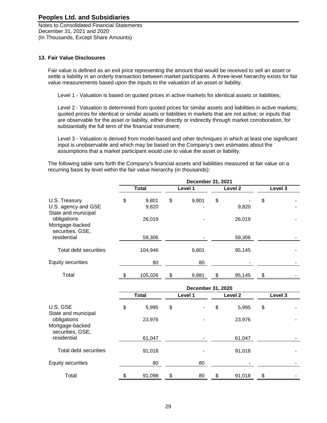Notes to Consolidated Financial Statements December 31, 2021 and 2020 (In Thousands, Except Share Amounts)

#### **13. Fair Value Disclosures**

Fair value is defined as an exit price representing the amount that would be received to sell an asset or settle a liability in an orderly transaction between market participants. A three-level hierarchy exists for fair value measurements based upon the inputs to the valuation of an asset or liability.

Level 1 - Valuation is based on quoted prices in active markets for identical assets or liabilities;

Level 2 - Valuation is determined from quoted prices for similar assets and liabilities in active markets; quoted prices for identical or similar assets or liabilities in markets that are not active; or inputs that are observable for the asset or liability, either directly or indirectly through market corroboration, for substantially the full term of the financial instrument;

Level 3 - Valuation is derived from model-based and other techniques in which at least one significant input is unobservable and which may be based on the Company's own estimates about the assumptions that a market participant would use to value the asset or liability.

The following table sets forth the Company's financial assets and liabilities measured at fair value on a recurring basis by level within the fair value hierarchy (in thousands):

|                                                             |    |                | December 31, 2021 |                   |                    |           |  |
|-------------------------------------------------------------|----|----------------|-------------------|-------------------|--------------------|-----------|--|
|                                                             |    | <b>Total</b>   | Level 1           |                   | Level 2            | Level $3$ |  |
| U.S. Treasury<br>U.S. agency and GSE<br>State and municipal | \$ | 9,801<br>9,820 | \$<br>9,801       | \$                | 9,820              | \$        |  |
| obligations<br>Mortgage-backed<br>securities, GSE,          |    | 26,019         |                   |                   | 26,019             |           |  |
| residential                                                 |    | 59,306         |                   |                   | 59,306             |           |  |
| <b>Total debt securities</b>                                |    | 104,946        | 9,801             |                   | 95,145             |           |  |
| <b>Equity securities</b>                                    |    | 80             | 80                |                   |                    |           |  |
| Total                                                       | S. | 105,026        | \$<br>9,881       | \$                | 95,145             | \$        |  |
|                                                             |    |                |                   | December 31, 2020 |                    |           |  |
|                                                             |    | <b>Total</b>   | Level 1           |                   | Level <sub>2</sub> | Level $3$ |  |
| U.S. GSE<br>State and municipal                             | \$ | 5,995          | \$                | \$                | 5,995              | \$        |  |
| obligations<br>Mortgage-backed<br>securities, GSE,          |    | 23,976         |                   |                   | 23,976             |           |  |
| residential                                                 |    | 61,047         |                   |                   | 61,047             |           |  |
| Total debt securities                                       |    | 91,018         |                   |                   | 91,018             |           |  |
| <b>Equity securities</b>                                    |    | 80             | 80                |                   |                    |           |  |
| Total                                                       | \$ | 91,098         | \$<br>80          | \$                | 91,018             | \$        |  |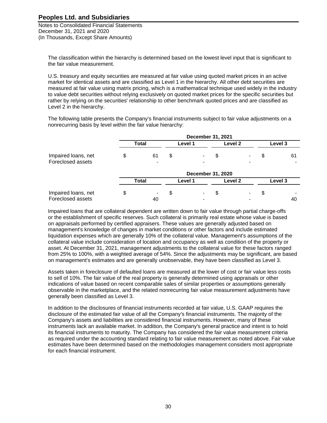Notes to Consolidated Financial Statements December 31, 2021 and 2020 (In Thousands, Except Share Amounts)

The classification within the hierarchy is determined based on the lowest level input that is significant to the fair value measurement.

U.S. treasury and equity securities are measured at fair value using quoted market prices in an active market for identical assets and are classified as Level 1 in the hierarchy. All other debt securities are measured at fair value using matrix pricing, which is a mathematical technique used widely in the industry to value debt securities without relying exclusively on quoted market prices for the specific securities but rather by relying on the securities' relationship to other benchmark quoted prices and are classified as Level 2 in the hierarchy.

The following table presents the Company's financial instruments subject to fair value adjustments on a nonrecurring basis by level within the fair value hierarchy:

|                                          | December 31, 2021 |                      |         |                               |                    |   |  |         |
|------------------------------------------|-------------------|----------------------|---------|-------------------------------|--------------------|---|--|---------|
|                                          |                   | Total                | Level 1 |                               | Level <sub>2</sub> |   |  | Level 3 |
| Impaired loans, net<br>Foreclosed assets |                   | 61<br>$\blacksquare$ | S       | $\overline{\phantom{0}}$<br>- |                    | - |  |         |

|                     |       | <b>December 31, 2020</b> |  |                          |         |                          |         |    |  |  |
|---------------------|-------|--------------------------|--|--------------------------|---------|--------------------------|---------|----|--|--|
|                     | Total |                          |  | Level 1                  | Level 2 |                          | Level 3 |    |  |  |
| Impaired loans, net |       | $\blacksquare$           |  | $\overline{\phantom{0}}$ |         | $\overline{\phantom{0}}$ |         |    |  |  |
| Foreclosed assets   |       | 40                       |  | -                        |         |                          |         | 40 |  |  |

Impaired loans that are collateral dependent are written down to fair value through partial charge-offs or the establishment of specific reserves. Such collateral is primarily real estate whose value is based on appraisals performed by certified appraisers. These values are generally adjusted based on management's knowledge of changes in market conditions or other factors and include estimated liquidation expenses which are generally 10% of the collateral value. Management's assumptions of the collateral value include consideration of location and occupancy as well as condition of the property or asset. At December 31, 2021, management adjustments to the collateral value for these factors ranged from 25% to 100%, with a weighted average of 54%. Since the adjustments may be significant, are based on management's estimates and are generally unobservable, they have been classified as Level 3.

Assets taken in foreclosure of defaulted loans are measured at the lower of cost or fair value less costs to sell of 10%. The fair value of the real property is generally determined using appraisals or other indications of value based on recent comparable sales of similar properties or assumptions generally observable in the marketplace, and the related nonrecurring fair value measurement adjustments have generally been classified as Level 3.

In addition to the disclosures of financial instruments recorded at fair value, U.S. GAAP requires the disclosure of the estimated fair value of all the Company's financial instruments. The majority of the Company's assets and liabilities are considered financial instruments. However, many of these instruments lack an available market. In addition, the Company's general practice and intent is to hold its financial instruments to maturity. The Company has considered the fair value measurement criteria as required under the accounting standard relating to fair value measurement as noted above. Fair value estimates have been determined based on the methodologies management considers most appropriate for each financial instrument.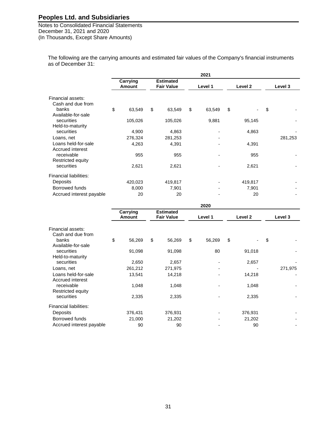Notes to Consolidated Financial Statements December 31, 2021 and 2020 (In Thousands, Except Share Amounts)

The following are the carrying amounts and estimated fair values of the Company's financial instruments as of December 31:

|                                                 | 2021 |                    |    |                                       |    |         |    |                    |    |         |
|-------------------------------------------------|------|--------------------|----|---------------------------------------|----|---------|----|--------------------|----|---------|
|                                                 |      | Carrying<br>Amount |    | <b>Estimated</b><br><b>Fair Value</b> |    | Level 1 |    | Level <sub>2</sub> |    | Level 3 |
| Financial assets:<br>Cash and due from<br>banks | \$   | 63,549             | \$ | 63,549                                | \$ | 63,549  | \$ |                    | \$ |         |
| Available-for-sale                              |      |                    |    |                                       |    |         |    |                    |    |         |
| securities<br>Held-to-maturity                  |      | 105,026            |    | 105,026                               |    | 9,881   |    | 95,145             |    |         |
| securities                                      |      | 4,900              |    | 4,863                                 |    |         |    | 4,863              |    |         |
| Loans, net                                      |      | 276,324            |    | 281,253                               |    |         |    |                    |    | 281,253 |
| Loans held-for-sale<br>Accrued interest         |      | 4,263              |    | 4,391                                 |    |         |    | 4,391              |    |         |
| receivable<br>Restricted equity                 |      | 955                |    | 955                                   |    |         |    | 955                |    |         |
| securities                                      |      | 2,621              |    | 2,621                                 |    |         |    | 2,621              |    |         |
| Financial liabilities:                          |      |                    |    |                                       |    |         |    |                    |    |         |
| Deposits                                        |      | 420,023            |    | 419,817                               |    |         |    | 419,817            |    |         |
| Borrowed funds                                  |      | 8,000              |    | 7,901                                 |    |         |    | 7,901              |    |         |
| Accrued interest payable                        |      | 20                 |    | 20                                    |    |         |    | 20                 |    |         |

|                                                      | 2020 |                           |    |                                       |    |         |    |         |    |         |
|------------------------------------------------------|------|---------------------------|----|---------------------------------------|----|---------|----|---------|----|---------|
|                                                      |      | Carrying<br><b>Amount</b> |    | <b>Estimated</b><br><b>Fair Value</b> |    | Level 1 |    | Level 2 |    | Level 3 |
| Financial assets:<br>Cash and due from               |      |                           |    |                                       |    |         |    |         |    |         |
| banks                                                | \$   | 56,269                    | \$ | 56,269                                | \$ | 56,269  | \$ |         | \$ |         |
| Available-for-sale<br>securities<br>Held-to-maturity |      | 91,098                    |    | 91,098                                |    | 80      |    | 91,018  |    |         |
| securities                                           |      | 2,650                     |    | 2,657                                 |    |         |    | 2,657   |    |         |
| Loans, net                                           |      | 261,212                   |    | 271,975                               |    |         |    |         |    | 271,975 |
| Loans held-for-sale<br>Accrued interest              |      | 13,541                    |    | 14,218                                |    |         |    | 14,218  |    |         |
| receivable<br>Restricted equity                      |      | 1,048                     |    | 1,048                                 |    |         |    | 1,048   |    |         |
| securities                                           |      | 2,335                     |    | 2,335                                 |    |         |    | 2,335   |    |         |
| <b>Financial liabilities:</b>                        |      |                           |    |                                       |    |         |    |         |    |         |
| <b>Deposits</b>                                      |      | 376,431                   |    | 376,931                               |    |         |    | 376,931 |    |         |
| Borrowed funds                                       |      | 21,000                    |    | 21,202                                |    |         |    | 21,202  |    |         |
| Accrued interest payable                             |      | 90                        |    | 90                                    |    |         |    | 90      |    |         |